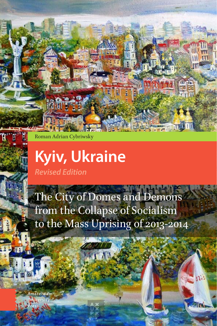Roman Adrian Cybriwsky



# **Kyiv, Ukraine**

*Revised Edition*

The City of Domes and Demons from the Collapse of Socialism to the Mass Uprising of 2013-2014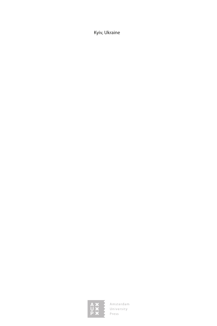Kyiv, Ukraine

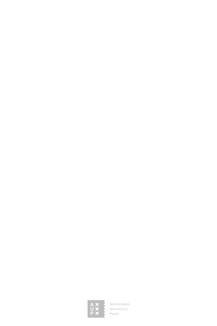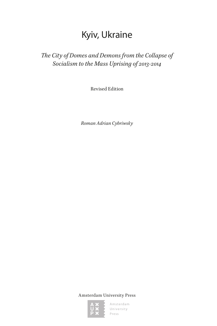# Kyiv, Ukraine

## *The City of Domes and Demons from the Collapse of Socialism to the Mass Uprising of 2013-2014*

Revised Edition

*Roman Adrian Cybriwsky*

Amsterdam University Press

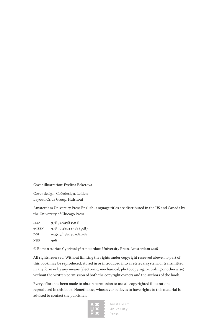Cover illustration: Evelina Beketova

Cover design: Coördesign, Leiden Layout: Crius Group, Hulshout

Amsterdam University Press English-language titles are distributed in the US and Canada by the University of Chicago Press.

| ISBN   | 978 94 6298 150 8       |
|--------|-------------------------|
| e-ISBN | 978 90 4853 173 8 (pdf) |
| DOI    | 10.5117/9789462981508   |
| NUR    | 906                     |

© Roman Adrian Cybriwsky/ Amsterdam University Press, Amsterdam 2016

All rights reserved. Without limiting the rights under copyright reserved above, no part of this book may be reproduced, stored in or introduced into a retrieval system, or transmitted, in any form or by any means (electronic, mechanical, photocopying, recording or otherwise) without the written permission of both the copyright owners and the authors of the book.

Every effort has been made to obtain permission to use all copyrighted illustrations reproduced in this book. Nonetheless, whosoever believes to have rights to this material is advised to contact the publisher.



Amsterdam University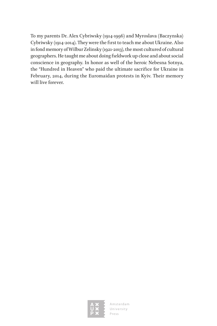To my parents Dr. Alex Cybriwsky (1914-1996) and Myroslava (Baczynska) Cybriwsky (1914-2014). They were the first to teach me about Ukraine. Also in fond memory of Wilbur Zelinsky (1921-2013), the most cultured of cultural geographers. He taught me about doing fieldwork up close and about social conscience in geography. In honor as well of the heroic Nebesna Sotnya, the "Hundred in Heaven" who paid the ultimate sacrifice for Ukraine in February, 2014, during the Euromaidan protests in Kyiv. Their memory will live forever.

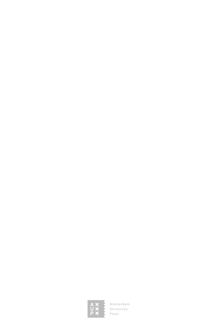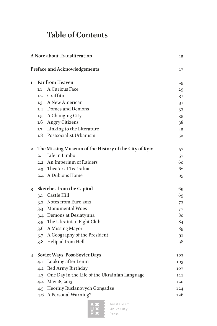# **Table of Contents**

| <b>A Note about Transliteration</b> |               | 15                                                    |     |
|-------------------------------------|---------------|-------------------------------------------------------|-----|
|                                     |               | <b>Preface and Acknowledgements</b>                   | 17  |
| $\mathbf{1}$                        |               | <b>Far from Heaven</b>                                | 29  |
|                                     | 1.1           | A Curious Face                                        | 29  |
|                                     | $1.2^{\circ}$ | Graffito                                              | 31  |
|                                     | 1.3           | A New American                                        | 31  |
|                                     |               | 1.4 Domes and Demons                                  | 33  |
|                                     | $1.5^{\circ}$ | A Changing City                                       | 35  |
|                                     | 1.6           | <b>Angry Citizens</b>                                 | 38  |
|                                     | $1.7^{\circ}$ | Linking to the Literature                             | 45  |
|                                     | 1.8           | Postsocialist Urbanism                                | 52  |
| $\mathbf{2}$                        |               | The Missing Museum of the History of the City of Kyiv | 57  |
|                                     | 2.1           | Life in Limbo                                         | 57  |
|                                     | 2.2           | An Imperium of Raiders                                | 60  |
|                                     |               | 2.3 Theater at Teatralna                              | 62  |
|                                     |               | 2.4 A Dubious Home                                    | 65  |
| 3                                   |               | <b>Sketches from the Capital</b>                      | 69  |
|                                     | 3.1           | Castle Hill                                           | 69  |
|                                     |               | 3.2 Notes from Euro 2012                              | 73  |
|                                     | $3-3$         | Monumental Woes                                       | 77  |
|                                     |               | 3.4 Demons at Desiatynna                              | 80  |
|                                     | $3-5$         | The Ukrainian Fight Club                              | 84  |
|                                     |               | 3.6 A Missing Mayor                                   | 89  |
|                                     | $3 - 7$       | A Geography of the President                          | 91  |
|                                     | 3.8           | Helipad from Hell                                     | 98  |
| $\overline{\mathbf{4}}$             |               | <b>Soviet Ways, Post-Soviet Days</b>                  | 103 |
|                                     | 4.1           | Looking after Lenin                                   | 103 |
|                                     | 4.2           | Red Army Birthday                                     | 107 |
|                                     | 4.3           | One Day in the Life of the Ukrainian Language         | 111 |
|                                     |               | 4.4 May 18, 2013                                      | 120 |
|                                     |               | 4.5 Heorhiy Ruslanovych Gongadze                      | 124 |
|                                     |               | 4.6 A Personal Warning?                               | 126 |
|                                     |               | $\lambda \sim 2$<br>Amsterdam                         |     |

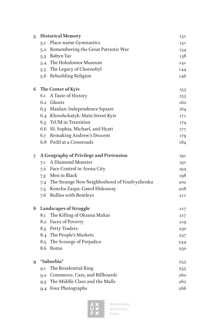| 5 |     | <b>Historical Memory</b>                     | 131 |
|---|-----|----------------------------------------------|-----|
|   | 5.1 | Place-name Gymnastics                        | 131 |
|   | 5.2 | Remembering the Great Patriotic War          | 134 |
|   |     | 5.3 Babyn Yar                                | 138 |
|   |     | 5.4 The Holodomor Museum                     | 141 |
|   | 5.5 | The Legacy of Chornobyl                      | 144 |
|   |     | 5.6 Rebuilding Religion                      | 146 |
| 6 |     | The Center of Kyiv                           | 153 |
|   | 6.1 | A Taste of History                           | 153 |
|   | 6.2 | Ghosts                                       | 160 |
|   |     | 6.3 Maidan: Independence Square              | 164 |
|   |     | 6.4 Khreshchatyk: Main Street Kyiv           | 171 |
|   | 6.5 | <b>TsUM</b> in Transition                    | 174 |
|   |     | 6.6 SS. Sophia, Michael, and Hyatt           | 177 |
|   |     | 6.7 Remaking Andrew's Descent                | 179 |
|   |     | 6.8 Podil at a Crossroads                    | 184 |
| 7 |     | A Geography of Privilege and Pretension      | 191 |
|   | 7.1 | A Diamond Monster                            | 191 |
|   |     | 7.2 Face Control in Arena City               | 194 |
|   |     | 7.3 Men in Black                             | 198 |
|   | 7.4 | The Strange New Neighborhood of Vozdvyzhenka | 202 |
|   |     | 7.5 Koncha Zaspa: Gated Hideaway             | 208 |
|   | 7.6 | <b>Bullies with Bentleys</b>                 | 211 |
| 8 |     | <b>Landscapes of Struggle</b>                | 217 |
|   | 8.1 | The Killing of Oksana Makar                  | 217 |
|   | 8.2 | <b>Faces of Poverty</b>                      | 219 |
|   | 8.3 | <b>Petty Traders</b>                         | 230 |
|   |     | 8.4 The People's Markets                     | 237 |
|   |     | 8.5 The Scourge of Prejudice                 | 244 |
|   |     | 8.6 Roma                                     | 250 |
| 9 |     | "Suburbia"                                   | 255 |
|   | 9.1 | The Residential Ring                         | 255 |
|   | 9.2 | Commerce, Cars, and Billboards               | 260 |
|   | 9.3 | The Middle Class and the Malls               | 262 |
|   |     | 9.4 Four Photographs                         | 266 |
|   |     |                                              |     |

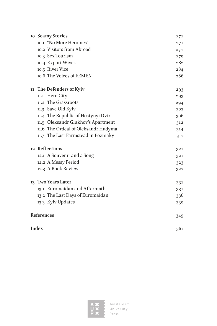| 10 Seamy Stories                    | 271 |
|-------------------------------------|-----|
| 10.1 "No More Heroines"             | 271 |
| 10.2 Visitors from Abroad           | 277 |
| 10.3 Sex Tourism                    | 279 |
| 10.4 Export Wives                   | 282 |
| 10.5 River Vice                     | 284 |
| 10.6 The Voices of FEMEN            | 286 |
| 11 The Defenders of Kyiv            | 293 |
| Hero City<br>11.1                   | 293 |
| The Grassroots<br>11.2              | 294 |
| 11.3 Save Old Kyiv                  | 303 |
| 11.4 The Republic of Hostynyi Dvir  | 306 |
| 11.5 Oleksandr Glukhov's Apartment  | 312 |
| 11.6 The Ordeal of Oleksandr Hudyma | 314 |
| 11.7 The Last Farmstead in Pozniaky | 317 |
| 12 Reflections                      | 321 |
| 12.1 A Souvenir and a Song          | 321 |
| 12.2 A Messy Period                 | 323 |
| 12.3 A Book Review                  | 327 |
| 13 Two Years Later                  | 331 |
| 13.1 Euromaidan and Aftermath       | 331 |
| 13.2 The Last Days of Euromaidan    | 336 |
| 13.3 Kyiv Updates                   | 339 |
| References                          | 349 |
| Index                               | 361 |

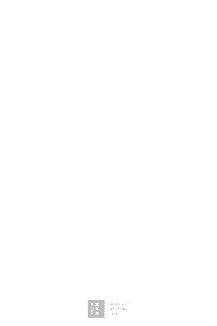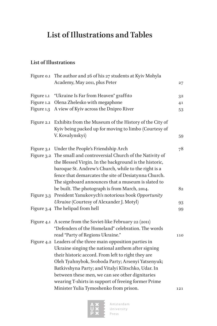# **List of Illustrations and Tables**

### **List of Illustrations**

|            | Figure 0.1 The author and 26 of his 27 students at Kyiv Mohyla   |     |
|------------|------------------------------------------------------------------|-----|
|            | Academy, May 2011, plus Peter                                    | 27  |
| Figure 1.1 | "Ukraine Is Far from Heaven" graffito                            | 32  |
| Figure 1.2 | Olena Zhelesko with megaphone                                    | 41  |
| Figure 1.3 | A view of Kyiv across the Dnipro River                           | 53  |
| Figure 2.1 | Exhibits from the Museum of the History of the City of           |     |
|            | Kyiv being packed up for moving to limbo (Courtesy of            |     |
|            | V. Kovalynskyi)                                                  | 59  |
| Figure 3.1 | Under the People's Friendship Arch                               | 78  |
|            | Figure 3.2 The small and controversial Church of the Nativity of |     |
|            | the Blessed Virgin. In the background is the historic,           |     |
|            | baroque St. Andrew's Church, while to the right is a             |     |
|            | fence that demarcates the site of Desiatynna Church.             |     |
|            | The signboard announces that a museum is slated to               |     |
|            | be built. The photograph is from March, 2014.                    | 82  |
| Figure 3.3 | President Yanukovych's notorious book Opportunity                |     |
|            | Ukraine (Courtesy of Alexander J. Motyl)                         | 93  |
|            | Figure 3.4 The helipad from hell                                 | 99  |
|            | Figure 4.1 A scene from the Soviet-like February 22 (2011)       |     |
|            | "Defenders of the Homeland" celebration. The words               |     |
|            | read "Party of Regions Ukraine."                                 | 110 |
|            | Figure 4.2 Leaders of the three main opposition parties in       |     |
|            | Ukraine singing the national anthem after signing                |     |
|            | their historic accord. From left to right they are               |     |
|            | Oleh Tyahnybok, Svoboda Party; Arsenyi Yatsenyuk;                |     |
|            | Batkivshyna Party; and Vitalyi Klitschko, Udar. In               |     |
|            | between these men, we can see other dignitaries                  |     |
|            | wearing T-shirts in support of freeing former Prime              |     |
|            | Minister Yulia Tymoshenko from prison.                           | 121 |

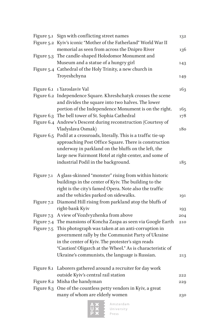|            | Figure 5.1 Sign with conflicting street names                         | 132 |
|------------|-----------------------------------------------------------------------|-----|
|            | Figure 5.2 Kyiv's iconic "Mother of the Fatherland" World War II      |     |
|            | memorial as seen from across the Dnipro River                         | 136 |
|            | Figure 5.3 The candle-shaped Holodomor Monument and                   |     |
|            | Museum and a statue of a hungry girl                                  | 143 |
|            | Figure 5.4 Cathedral of the Holy Trinity, a new church in             |     |
|            | Troyeshchyna                                                          | 149 |
|            | Figure 6.1 1 Yaroslaviv Val                                           | 163 |
|            | Figure 6.2 Independence Square. Khreshchatyk crosses the scene        |     |
|            | and divides the square into two halves. The lower                     |     |
|            | portion of the Independence Monument is on the right.                 | 165 |
|            | Figure 6.3 The bell tower of St. Sophia Cathedral                     | 178 |
|            | Figure 6.4 Andrew's Descent during reconstruction (Courtesy of        |     |
|            | Vladyslava Osmak)                                                     | 180 |
|            | Figure 6.5 Podil at a crossroads, literally. This is a traffic tie-up |     |
|            | approaching Post Office Square. There is construction                 |     |
|            | underway in parkland on the bluffs on the left, the                   |     |
|            | large new Fairmont Hotel at right-center, and some of                 |     |
|            | industrial Podil in the background.                                   | 185 |
| Figure 7.1 | A glass-skinned "monster" rising from within historic                 |     |
|            | buildings in the center of Kyiv. The building to the                  |     |
|            | right is the city's famed Opera. Note also the traffic                |     |
|            | and the vehicles parked on sidewalks.                                 | 191 |
| Figure 7.2 | Diamond Hill rising from parkland atop the bluffs of                  |     |
|            | right-bank Kyiv                                                       | 193 |
| Figure 7.3 | A view of Vozdvyzhenka from above                                     | 204 |
| Figure 7.4 | The mansions of Koncha Zaspa as seen via Google Earth                 | 210 |
| Figure 7.5 | This photograph was taken at an anti-corruption in                    |     |
|            | government rally by the Communist Party of Ukraine                    |     |
|            | in the center of Kyiv. The protester's sign reads                     |     |
|            | "Caution! Oligarch at the Wheel." As is characteristic of             |     |
|            | Ukraine's communists, the language is Russian.                        | 213 |
|            | Figure 8.1 Laborers gathered around a recruiter for day work          |     |
|            | outside Kyiv's central rail station                                   | 222 |
|            | Figure 8.2 Misha the handyman                                         | 229 |
|            | Figure 8.3 One of the countless petty vendors in Kyiv, a great        |     |
|            | many of whom are elderly women                                        | 230 |
|            |                                                                       |     |

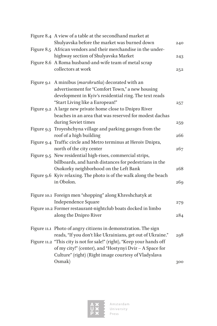|            | Figure 8.4 A view of a table at the secondhand market at               |     |
|------------|------------------------------------------------------------------------|-----|
|            | Shulyavska before the market was burned down                           | 240 |
| Figure 8.5 | African vendors and their merchandise in the under-                    |     |
|            | highway section of Shulyavska Market                                   | 243 |
|            | Figure 8.6 A Roma husband-and-wife team of metal scrap                 |     |
|            | collectors at work                                                     | 252 |
|            | Figure 9.1 A minibus (marshrutka) decorated with an                    |     |
|            | advertisement for "Comfort Town," a new housing                        |     |
|            | development in Kyiv's residential ring. The text reads                 |     |
|            | "Start Living like a European!"                                        | 257 |
|            | Figure 9.2 A large new private home close to Dnipro River              |     |
|            | beaches in an area that was reserved for modest dachas                 |     |
|            | during Soviet times                                                    | 259 |
| Figure 9.3 | Troyeshchyna village and parking garages from the                      |     |
|            | roof of a high building                                                | 266 |
| Figure 9.4 | Traffic circle and Metro terminus at Heroiv Dnipra,                    |     |
|            | north of the city center                                               | 267 |
| Figure 9.5 | New residential high-rises, commercial strips,                         |     |
|            | billboards, and harsh distances for pedestrians in the                 |     |
|            | Osokorky neighborhood on the Left Bank                                 | 268 |
|            | Figure 9.6 Kyiv relaxing. The photo is of the walk along the beach     |     |
|            | in Obolon.                                                             | 269 |
|            |                                                                        |     |
|            | Figure 10.1 Foreign men "shopping" along Khreshchatyk at               |     |
|            | Independence Square                                                    | 279 |
|            | Figure 10.2 Former restaurant-nightclub boats docked in limbo          |     |
|            | along the Dnipro River                                                 | 284 |
|            | Figure 11.1 Photo of angry citizens in demonstration. The sign         |     |
|            | reads, "If you don't like Ukrainians, get out of Ukraine."             | 298 |
|            | Figure 11.2 "This city is not for sale!" (right), "Keep your hands off |     |
|            | of my city!" (center), and "Hostynyi Dvir - A Space for                |     |
|            | Culture" (right) (Right image courtesy of Vladyslava                   |     |
|            | Osmak)                                                                 | 300 |
|            |                                                                        |     |

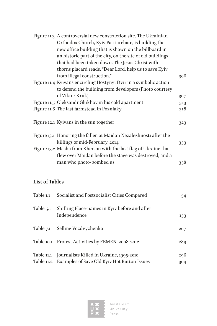| Figure 11.3 A controversial new construction site. The Ukrainian  |     |
|-------------------------------------------------------------------|-----|
| Orthodox Church, Kyiv Patriarchate, is building the               |     |
| new office building that is shown on the billboard in             |     |
| an historic part of the city, on the site of old buildings        |     |
| that had been taken down. The Jesus Christ with                   |     |
| thorns placard reads, "Dear Lord, help us to save Kyiv            |     |
| from illegal construction."                                       | 306 |
| Figure 11.4 Kyivans encircling Hostynyi Dvir in a symbolic action |     |
| to defend the building from developers (Photo courtesy            |     |
| of Viktor Kruk)                                                   | 307 |
| Figure 11.5 Oleksandr Glukhov in his cold apartment               | 313 |
| Figure 11.6 The last farmstead in Pozniaky                        | 318 |
| Figure 12.1 Kyivans in the sun together                           | 323 |
| Figure 13.1 Honoring the fallen at Maidan Nezalezhnosti after the |     |
| killings of mid-February, 2014                                    | 333 |
| Figure 13.2 Masha from Kherson with the last flag of Ukraine that |     |
| flew over Maidan before the stage was destroyed, and a            |     |
| man who photo-bombed us                                           | 338 |
|                                                                   |     |

## **List of Tables**

| Table 1.1 | Socialist and Postsocialist Cities Compared                   | 54  |
|-----------|---------------------------------------------------------------|-----|
| Table 5.1 | Shifting Place-names in Kyiv before and after<br>Independence | 133 |
| Table 7.1 | Selling Vozdvyzhenka                                          | 207 |
|           | Table 10.1 Protest Activities by FEMEN, 2008-2012             | 289 |
|           | Table 11.1 Journalists Killed in Ukraine, 1995-2010           | 296 |
|           | Table 11.2 Examples of Save Old Kyiv Hot Button Issues        | 304 |

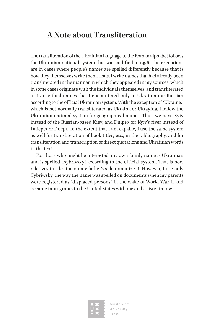# <span id="page-15-0"></span>**A Note about Transliteration**

The transliteration of the Ukrainian language to the Roman alphabet follows the Ukrainian national system that was codified in 1996. The exceptions are in cases where people's names are spelled differently because that is how they themselves write them. Thus, I write names that had already been transliterated in the manner in which they appeared in my sources, which in some cases originate with the individuals themselves, and transliterated or transcribed names that I encountered only in Ukrainian or Russian according to the official Ukrainian system. With the exception of "Ukraine," which is not normally transliterated as Ukraina or Ukrayina, I follow the Ukrainian national system for geographical names. Thus, we have Kyiv instead of the Russian-based Kiev, and Dnipro for Kyiv's river instead of Dnieper or Dnepr. To the extent that I am capable, I use the same system as well for transliteration of book titles, etc., in the bibliography, and for transliteration and transcription of direct quotations and Ukrainian words in the text.

For those who might be interested, my own family name is Ukrainian and is spelled Tsybrivskyi according to the official system. That is how relatives in Ukraine on my father's side romanize it. However, I use only Cybriwsky, the way the name was spelled on documents when my parents were registered as "displaced persons" in the wake of World War II and became immigrants to the United States with me and a sister in tow.



Amsterdam University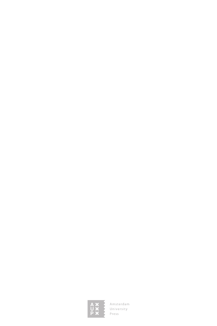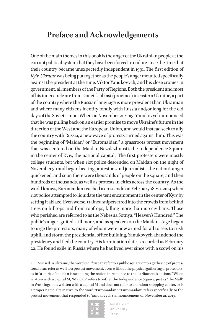# <span id="page-17-0"></span>**Preface and Acknowledgements**

One of the main themes in this book is the anger of the Ukrainian people at the corrupt political system that they have been forced to endure since the time that their country became unexpectedly independent in 1991. The first edition of *Kyiv, Ukraine* was being put together as the people's anger mounted specifically against the president at the time, Viktor Yanukovych, and his close cronies in government, all members of the Party of Regions. Both the president and most of his inner circle are from Donetsk oblast (province) in eastern Ukraine, a part of the country where the Russian language is more prevalent than Ukrainian and where many citizens identify fondly with Russia and/or long for the old days of the Soviet Union. When on November 21, 2013, Yanukovych announced that he was pulling back on an earlier promise to move Ukraine's future in the direction of the West and the European Union, and would instead seek to ally the country with Russia, a new wave of protests turned against him. This was the beginning of "Maidan" or "Euromaidan," a grassroots protest movement that was centered on the Maidan Nezalezhnosti, the Independence Square in the center of Kyiv, the national capital.<sup>1</sup> The first protesters were mostly college students, but when riot police descended on Maidan on the night of November 30 and began beating protestors and journalists, the nation's anger quickened, and soon there were thousands of people on the square, and then hundreds of thousands, as well as protests in cities across the country. As the world knows, Euromaidan reached a crescendo on February 18-20, 2014 when riot police attempted to liquidate the tent encampment in the center of Kyiv by setting it ablaze. Even worse, trained snipers fired into the crowds from behind trees on hilltops and from rooftops, killing more than 100 civilians. Those who perished are referred to as the Nebesna Sotnya, "Heaven's Hundred." The public's anger ignited still more, and as speakers on the Maidan stage began to urge the protestors, many of whom were now armed for all to see, to rush uphill and storm the presidential office building, Yanukovych abandoned the presidency and fled the country. His termination date is recorded as February 22. He found exile in Russia where he has lived ever since with a scowl on his

1 As used in Ukraine, the word *maidan* can refer to a public square or to a gathering of protestors. It can refer as well to a protest movement, even without the physical gathering of protestors, as in "a spirit of maidan is sweeping the nation in response to the parliament's actions." When written with a capital M, "Maidan" refers to either the Independence Square, just as "the Mall" in Washington is written with a capital M and does not refer to an indoor shopping center, or is a proper name alternative to the word "Euromaidan." "Euromaidan" refers specifically to the protest movement that responded to Yanukovych's announcement on November 21, 2013.

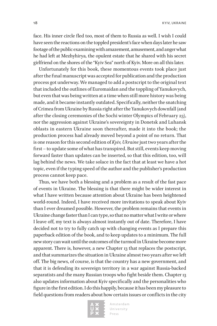face. His inner circle fled too, most of them to Russia as well. I wish I could have seen the reactions on the toppled president's face when days later he saw footage of the public examining with amazement, amusement, and anger what he had left at Mezhyhirya, the opulent estate that he shared with his secret girlfriend on the shores of the "Kyiv Sea" north of Kyiv. More on all this later.

Unfortunately for this book, these momentous events took place just after the final manuscript was accepted for publication and the production process got underway. We managed to add a postscript to the original text that included the outlines of Euromaidan and the toppling of Yanukovych, but even that was being written at a time when still more history was being made, and it became instantly outdated. Specifically, neither the snatching of Crimea from Ukraine by Russia right after the Yanukovych downfall (and after the closing ceremonies of the Sochi winter Olympics of February 23), nor the aggression against Ukraine's sovereignty in Donetsk and Luhansk oblasts in eastern Ukraine soon thereafter, made it into the book; the production process had already moved beyond a point of no return. That is one reason for this second edition of *Kyiv, Ukraine* just two years after the first – to update some of what has transpired. But still, events keep moving forward faster than updates can be inserted, so that this edition, too, will lag behind the news. We take solace in the fact that at least we have a hot topic, even if the typing speed of the author and the publisher's production process cannot keep pace.

Thus, we have both a blessing and a problem as a result of the fast pace of events in Ukraine. The blessing is that there might be wider interest in what I have written because attention about Ukraine has been heightened world-round. Indeed, I have received more invitations to speak about Kyiv than I ever dreamed possible. However, the problem remains that events in Ukraine change faster than I can type, so that no matter what I write or where I leave off, my text is always almost instantly out of date. Therefore, I have decided not to try to fully catch up with changing events as I prepare this paperback edition of the book, and to keep updates to a minimum. The full new story can wait until the outcomes of the turmoil in Ukraine become more apparent. There is, however, a new Chapter 13 that replaces the postscript, and that summarizes the situation in Ukraine almost two years after we left off. The big news, of course, is that the country has a new government, and that it is defending its sovereign territory in a war against Russia-backed separatists and the many Russian troops who fight beside them. Chapter 13 also updates information about Kyiv specifically and the personalities who figure in the first edition. I do this happily, because it has been my pleasure to field questions from readers about how certain issues or conflicts in the city

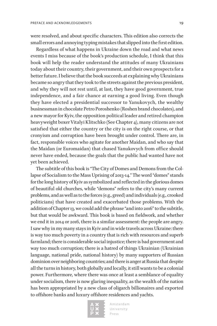were resolved, and about specific characters. This edition also corrects the small errors and annoying typing mistakes that slipped into the first edition.

Regardless of what happens in Ukraine down the road and what news events I miss because of the book's production schedule, I think that this book will help the reader understand the attitudes of many Ukrainians today about their country, their government, and their own prospects for a better future. I believe that the book succeeds at explaining why Ukrainians became so angry that they took to the streets against the previous president, and why they will not rest until, at last, they have good government, true independence, and a fair chance at earning a good living. Even though they have elected a presidential successor to Yanukovych, the wealthy businessman in chocolate Petro Poroshenko (Roshen brand chocolates), and a new mayor for Kyiv, the opposition political leader and retired champion heavyweight boxer Vitalyi Klitschko (See Chapter 4), many citizens are not satisfied that either the country or the city is on the right course, or that cronyism and corruption have been brought under control. There are, in fact, responsible voices who agitate for another Maidan, and who say that the Maidan (or Euromaidan) that chased Yanukovych from office should never have ended, because the goals that the public had wanted have not yet been achieved.

The subtitle of this book is "The City of Domes and Demons from the Collapse of Socialism to the Mass Uprising of 2013-14." The word "domes" stands for the long history of Kyiv as symbolized and reflected in the glorious domes of beautiful old churches, while "demons" refers to the city's many current problems, and as well as to the forces (e.g., greed) and individuals (e.g., crooked politicians) that have created and exacerbated those problems. With the addition of Chapter 13, we could add the phrase "and into 2016" to the subtitle, but that would be awkward. This book is based on fieldwork, and whether we end it in 2014 or 2016, there is a similar assessment: the people are angry. I saw why in my many stays in Kyiv and in wide travels across Ukraine: there is way too much poverty in a country that is rich with resources and superb farmland; there is considerable social injustice; there is bad government and way too much corruption; there is a hatred of things Ukrainian (Ukrainian language, national pride, national history) by many supporters of Russian dominion over neighboring countries; and there is anger at Russia that despite all the turns in history, both globally and locally, it still wants to be a colonial power. Furthermore, where there was once at least a semblance of equality under socialism, there is now glaring inequality, as the wealth of the nation has been appropriated by a new class of oligarch billionaires and exported to offshore banks and luxury offshore residences and yachts.

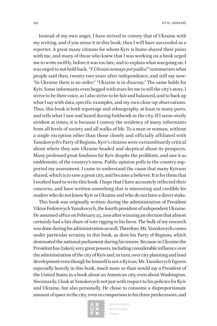Instead of my own anger, I have strived to convey that of Ukraine with my writing, and if you sense it in this book, then I will have succeeded as a reporter. A great many citizens for whom Kyiv is home shared their pains with me, and many of those who knew that I was working on a book urged me to write swiftly, before it was too late, and to explain what was going on. I was urged to not hold back. "*V Ukraini nemaye poryadku!"* summarizes what people said then, twenty-two years after independence, and still say now: "In Ukraine there is no order;" "Ukraine is in disarray." The same holds for Kyiv. Some informants even begged with tears for me to tell the city's story. I strive to be their voice, as I also strive to be fair and balanced, and to back up what I say with data, specific examples, and my own close-up observations. Thus, this book is both reportage and ethnography, at least in many parts, and tells what I saw and heard during fieldwork in the city. If I seem overly strident at times, it is because I convey the stridency of many informants from all levels of society and all walks of life. To a man or woman, without a single exception other than those closely and officially affiliated with Yanukovych's Party of Regions, Kyiv's citizens were extraordinarily critical about where they saw Ukraine headed and skeptical about its prospects. Many professed great fondness for Kyiv despite the problems, and saw it as emblematic of the country's mess. Public opinion polls in the country supported my assessment. I came to understand the cause that many Kyivans shared, which is to save a great city, and became a believer. It is for them that I worked hard to write this book. I hope that I have accurately reflected their concerns, and have written something that is interesting and credible for readers who do not know Kyiv or Ukraine and who do not have a direct stake.

This book was originally written during the administration of President Viktor Fedorovych Yanukovych, the fourth president of independent Ukraine. He assumed office on February 25, 2010 after winning an election that almost certainly had a fair share of vote rigging in his favor. The bulk of my research was done during his administration as well. Therefore, Mr. Yanukovych comes under particular scrutiny in this book, as does his Party of Regions, which dominated the national parliament during his tenure. Because in Ukraine the President has (taken) very great powers, including considerable influence over the administration of the city of Kyiv and, in turn, over city planning and land development even though he himself is not a Kyivan, Mr. Yanukovych figures especially heavily in this book, much more so than would say a President of the United States in a book about an American city, even about Washington. Necessarily, I look at Yanukovych not just with respect to his policies for Kyiv and Ukraine, but also personally. He chose to consume a disproportionate amount of space in the city, even in comparison to his three predecessors, and

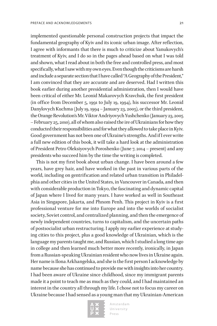implemented questionable personal construction projects that impact the fundamental geography of Kyiv and its iconic urban image. After reflection, I agree with informants that there is much to criticize about Yanukovych's treatment of Kyiv, and I do so in the pages ahead based on what I was told and shown, what I read about in both the free and controlled press, and most specifically, what I saw with my own eyes. Even though the criticisms are harsh and include a separate section that I have called "A Geography of the President," I am convinced that they are accurate and are deserved. Had I written this book earlier during another presidential administration, then I would have been critical of either Mr. Leonid Makarovych Kravchuk, the first president (in office from December 5, 1991 to July 19, 1994), his successor Mr. Leonid Danylovych Kuchma (July 19, 1994 – January 23, 2005), or the third president, the Orange Revolution's Mr. Viktor Andriyovych Yushchenko (January 23, 2005 – February 25, 2010), all of whom also raised the ire of Ukrainians for how they conducted their responsibilities and for what they allowed to take place in Kyiv. Good government has not been one of Ukraine's strengths. And if I ever write a full new edition of this book, it will take a hard look at the administration of President Petro Oleksiyovych Poroshenko (June 7, 2014 – present) and any presidents who succeed him by the time the writing is completed.

This is not my first book about urban change. I have been around a few years, have grey hair, and have worked in the past in various parts of the world, including on gentrification and related urban transition in Philadelphia and other cities in the United States, in Vancouver in Canada, and then with considerable production in Tokyo, the fascinating and dynamic capital of Japan where I lived for many years. I have worked as well in Southeast Asia in Singapore, Jakarta, and Phnom Penh. This project in Kyiv is a first professional venture for me into Europe and into the worlds of socialist society, Soviet control, and centralized planning, and then the emergence of newly independent countries, turns to capitalism, and the uncertain paths of postsocialist urban restructuring. I apply my earlier experience at studying cities to this project, plus a good knowledge of Ukrainian, which is the language my parents taught me, and Russian, which I studied a long time ago in college and then learned much better more recently, ironically, in Japan from a Russian-speaking Ukrainian resident who now lives in Ukraine again. Her name is Ilona Arkhangelska, and she is the first person I acknowledge by name because she has continued to provide me with insights into her country. I had been aware of Ukraine since childhood, since my immigrant parents made it a point to teach me as much as they could, and I had maintained an interest in the country all through my life. I chose not to focus my career on Ukraine because I had sensed as a young man that my Ukrainian-American

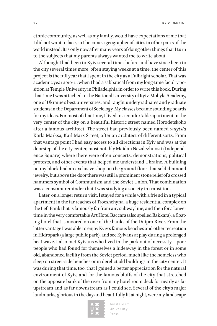22 KYIV, UKRAINE

ethnic community, as well as my family, would have expectations of me that I did not want to face, so I became a geographer of cities in other parts of the world instead. It is only now after many years of doing other things that I turn to the subjects that my parents always wanted me to write about.

Although I had been to Kyiv several times before and have since been to the city several times more, often staying weeks at a time, the center of this project is the full year that I spent in the city as a Fulbright scholar. That was academic year 2010-11, when I had a sabbatical from my long-time faculty position at Temple University in Philadelphia in order to write this book. During that time I was attached to the National University of Kyiv-Mohyla Academy, one of Ukraine's best universities, and taught undergraduates and graduate students in the Department of Sociology. My classes became sounding boards for my ideas. For most of that time, I lived in a comfortable apartment in the very center of the city on a beautiful historic street named Horodetskoho after a famous architect. The street had previously been named *vulytsia* Karla Marksa, Karl Marx Street, after an architect of different sorts. From that vantage point I had easy access to all directions in Kyiv and was at the doorstep of the city center, most notably Maidan Nezalezhnosti (Independence Square) where there were often concerts, demonstrations, political protests, and other events that helped me understand Ukraine. A building on my block had an exclusive shop on the ground floor that sold diamond jewelry, but above the door there was still a prominent stone relief of a crossed hammers symbol of Communism and the Soviet Union. That combination was a constant reminder that I was studying a society in transition.

Later, on a longer return visit, I stayed for a while with a friend in a typical apartment in the far reaches of Troeshchyna, a huge residential complex on the Left Bank that is famously far from any subway line, and then for a longer time in the very comfortable Art Hotel Baccara (also spelled Bakkara), a floating hotel that is moored on one of the banks of the Dnipro River. From the latter vantage I was able to enjoy Kyiv's famous beaches and other recreation in Hidropark (a large public park), and see Kyivans at play during a prolonged heat wave. I also met Kyivans who lived in the park out of necessity – poor people who had found for themselves a hideaway in the forest or in some old, abandoned facility from the Soviet period, much like the homeless who sleep on street-side benches or in derelict old buildings in the city center. It was during that time, too, that I gained a better appreciation for the natural environment of Kyiv, and for the famous bluffs of the city that stretched on the opposite bank of the river from my hotel room deck for nearly as far upstream and as far downstream as I could see. Several of the city's major landmarks, glorious in the day and beautifully lit at night, were my landscape

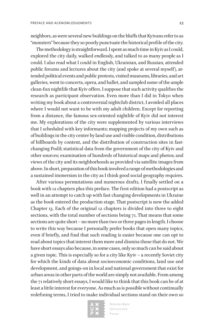neighbors, as were several new buildings on the bluffs that Kyivans refer to as "monsters" because they so poorly punctuate the historical profile of the city.

The methodology is straightforward. I spent as much time in Kyiv as I could, explored the city daily, walked endlessly, and talked to as many people as I could. I also read what I could in English, Ukrainian, and Russian, attended public forums and lectures about the city (and spoke at several myself), attended political events and public protests, visited museums, libraries, and art galleries, went to concerts, opera, and ballet, and sampled some of the ample clean-fun nightlife that Kyiv offers. I suppose that such activity qualifies the research as participant observation. Even more than I did in Tokyo when writing my book about a controversial nightclub district, I avoided all places where I would not want to be with my adult children. Except for reporting from a distance, the famous sex-oriented nightlife of Kyiv did not interest me. My explorations of the city were supplemented by various interviews that I scheduled with key informants; mapping projects of my own such as of buildings in the city center by land use and visible condition, distributions of billboards by content, and the distribution of construction sites in fastchanging Podil; statistical data from the government of the city of Kyiv and other sources; examination of hundreds of historical maps and photos; and views of the city and its neighborhoods as provided via satellite images from above. In short, preparation of this book involved a range of methodologies and a sustained immersion in the city as I think good social geography requires.

After various permutations and numerous drafts, I finally settled on a book with 12 chapters plus this preface. The first edition had a postscript as well in an attempt to catch up with fast changing developments in Ukraine as the book entered the production stage. That postscript is now the added Chapter 13. Each of the original 12 chapters is divided into three to eight sections, with the total number of sections being 71. That means that some sections are quite short – no more than two or three pages in length. I choose to write this way because I personally prefer books that open many topics, even if briefly, and find that such reading is easier because one can opt to read about topics that interest them more and dismiss those that do not. We have short essays also because, in some cases, only so much can be said about a given topic. This is especially so for a city like Kyiv – a recently Soviet city for which the kinds of data about socioeconomic conditions, land use and development, and goings-on in local and national government that exist for urban areas in other parts of the world are simply not available. From among the 71 relatively short essays, I would like to think that this book can be of at least a little interest for everyone. As much as is possible without continually redefining terms, I tried to make individual sections stand on their own so

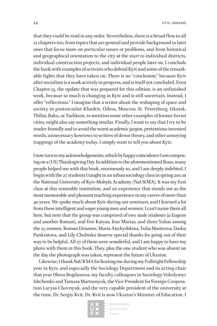24 K YIV, UKRAINE

that they could be read in any order. Nevertheless, there is a broad flow to all 12 chapters too, from topics that are general and provide background to later ones that focus more on particular issues or problems, and from historical and geographical orientation to the city at the start to individual districts, individual construction projects, and individual people later on. I conclude the book with examples of activists who defend Kyiv and some of the remarkable fights that they have taken on. There is no "conclusion," because Kyiv after socialism is a work actively in progress, and is itself not concluded. Even Chapter 13, the update that was prepared for this edition, is an unfinished work, because so much is changing in Kyiv and is still uncertain. Instead, I offer "reflections." I imagine that a writer about the reshaping of space and society in postsocialist Kharkiv, Odesa, Moscow, St. Petersburg, Irkutsk, Tbilisi, Baku, or Tashkent, to mention some other examples of former Soviet cities, might also say something similar. Finally, I want to say that I try to be reader-friendly and to avoid the worst academic jargon, pretentious invented words, unnecessary kowtows to writers of dense theory, and other annoying trappings of the academy today. I simply want to tell you about Kyiv.

I now turn to my acknowledgements, which by happy coincidence I am composing on a (US) Thanksgiving Day. In addition to the aforementioned Ilona, many people helped me with this book, enormously so, and I am deeply indebted. I begin with the 27 students I taught in an urban sociology class in spring 2011 at the National University of Kyiv-Mohyla Academy (NaUKMA). It was my first class at this venerable institution, and an experience that stands out as the most memorable and pleasant teaching experience in my career of more than 40 years. We spoke much about Kyiv during our seminars, and I learned a lot from these intelligent and eager young men and women. I can't name them all here, but note that the group was comprised of two male students (a Eugene and another Roman), and five Katyas, four Marias, and three Yulias among the 25 women. Roman Driamov, Maria Anchyshkina, Yulia Mantrova, Dasha Pankratova, and Lily Chulitska deserve special thanks for going out of their way to be helpful. All 27 of them were wonderful, and I am happy to have my photo with them in this book. They, plus the one student who was absent on the day the photograph was taken, represent the future of Ukraine.

Likewise, I thank NaUKMA for hosting me during my Fulbright Fellowship year in Kyiv, and especially the Sociology Department and its acting chair that year Olena Bogdanova, my faculty colleagues in Sociology Volodymyr Ishchenko and Tamara Martsenyuk, the Vice President for Foreign Cooperation Larysa Chovnyuk, and the very capable president of the university at the time, Dr. Sergiy Kvit. Dr. Kvit is now Ukraine's Minister of Education. I

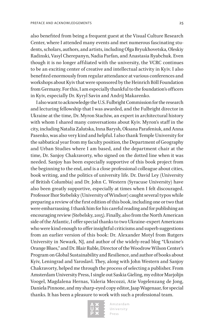also benefited from being a frequent guest at the Visual Culture Research Center, where I attended many events and met numerous fascinating students, scholars, authors, and artists, including Olga Bryukhovetska, Oleskiy Radinski, Vasyl Cherepanyn, Nadia Parfan, and Anastasia Ryabchuk. Even though it is no longer affiliated with the university, the VCRC continues to be an exciting center of creative and intellectual activity in Kyiv. I also benefited enormously from regular attendance at various conferences and workshops about Kyiv that were sponsored by the Heinrich Böll Foundation from Germany. For this, I am especially thankful to the foundation's officers in Kyiv, especially Dr. Kyryl Savin and Andrij Makarenko.

I also want to acknowledge the U.S. Fulbright Commission for the research and lecturing fellowship that I was awarded, and the Fulbright director in Ukraine at the time, Dr. Myron Stachiw, an expert in architectural history with whom I shared many conversations about Kyiv. Myron's staff in the city, including Natalia Zalutska, Inna Barysh, Oksana Parafeniuk, and Anna Pasenko, was also very kind and helpful. I also thank Temple University for the sabbatical year from my faculty position, the Department of Geography and Urban Studies where I am based, and the department chair at the time, Dr. Sanjoy Chakravorty, who signed on the dotted line when it was needed. Sanjoy has been especially supportive of this book project from the beginning to the end, and is a close professional colleague about cities, book writing, and the politics of university life. Dr. David Ley (University of British Columbia) and Dr. John C. Western (Syracuse University) have also been greatly supportive, especially at times when I felt discouraged. Professor Ihor Stebelsky (University of Windsor) caught several typos while preparing a review of the first edition of this book, including one or two that were embarrassing. I thank him for his careful reading and for publishing an encouraging review (Stebelsky, 2015). Finally, also from the North American side of the Atlantic, I offer special thanks to two Ukraine-expert Americans who were kind enough to offer insightful criticisms and superb suggestions from an earlier version of this book: Dr. Alexander Motyl from Rutgers University in Newark, NJ, and author of the widely-read blog "Ukraine's Orange Blues," and Dr. Blair Ruble, Director of the Woodrow Wilson Center's Program on Global Sustainability and Resilience, and author of books about Kyiv, Leningrad and Yaroslavl. They, along with John Western and Sanjoy Chakravorty, helped me through the process of selecting a publisher. From Amsterdam University Press, I single out Saskia Gieling, my editor Marjolijn Voogel, Magdalena Hernas, Valeria Mecozzi, Atie Vogelenzang de Jong, Daniela Pinnone, and my sharp-eyed copy editor, Jaap Wagenaar, for special thanks. It has been a pleasure to work with such a professional team.

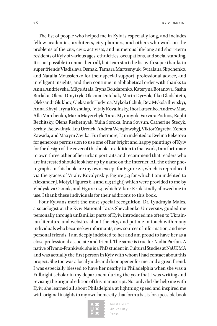The list of people who helped me in Kyiv is especially long, and includes fellow academics, architects, city planners, and others who work on the problems of the city, civic activists, and numerous life-long and short-term residents of Kyiv of various ages, ethnicities, occupations, and social standing. It is not possible to name them all, but I can start the list with super thanks to super friends Vladislava Osmak, Tamara Martsenyuk, Svitalana Slipchenko, and Natalia Moussienko for their special support, professional advice, and intelligent insights, and then continue in alphabetical order with thanks to Anna Andrievska, Müge Atala, Iryna Bondarenko, Kateryna Botanova, Sasha Burlaka, Olena Dmytryk, Oksana Dutchak, Marta Dyczok, Ilko Gladshtein, Oleksandr Glukhov, Oleksandr Hudyma, Mykola Ilchuk, Rev. Mykola Ilnytskyi, Anna Khvyl, Iryna Koshulap, , Vitaly Kovalinsky, Ihor Lutsenko, Andrew Mac, Alla Marchenko, Maria Mayerchyk, Taras Myronyuk, Varvara Podnos, Raphi Rechitsky, Olena Reshetnyak, Yulia Soroka, Inna Sovsun, Catherine Stecyk, Serhiy Tselovalnyk, Lou Urenek, Andrea Wenglowskyj, Viktor Zagreba, Zenon Zawada, and Maxym Zayika. Furthermore, I am indebted to Evelina Beketova for generous permission to use one of her bright and happy paintings of Kyiv for the design of the cover of this book. In addition to that work, I am fortunate to own three other of her urban portraits and recommend that readers who are interested should look her up by name on the Internet. All the other photographs in this book are my own except for Figure 2.1, which is reproduced via the graces of Vitaliy Kovalynskiy, Figure 3.3 for which I am indebted to Alexander J. Motyl, Figures 6.4 and 11.3 (right) which were provided to me by Vladyslava Osmak, and Figure 11.4, which Viktor Kruk kindly allowed me to use. I thank these individuals for their additions to this book.

Four Kyivans merit the most special recognition. Dr. Lyudmyla Males, a sociologist at the Kyiv National Taras Shevchenko University, guided me personally through unfamiliar parts of Kyiv, introduced me often to Ukrainian literature and websites about the city, and put me in touch with many individuals who became key informants, new sources of information, and new personal friends. I am deeply indebted to her and am proud to have her as a close professional associate and friend. The same is true for Nadia Parfan. A native of Ivano-Frankivsk, she is a PhD student in Cultural Studies at NaUKMA and was actually the first person in Kyiv with whom I had contact about this project. She too was a local guide and door opener for me, and a great friend. I was especially blessed to have her nearby in Philadelphia when she was a Fulbright scholar in my department during the year that I was writing and revising the original edition of this manuscript. Not only did she help me with Kyiv, she learned all about Philadelphia at lightning speed and inspired me with original insights to my own home city that form a basis for a possible book

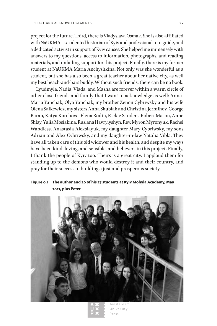<span id="page-27-0"></span>project for the future. Third, there is Vladyslava Osmak. She is also affiliated with NaUKMA, is a talented historian of Kyiv and professional tour guide, and a dedicated activist in support of Kyiv causes. She helped me immensely with answers to my questions, access to information, photographs, and reading materials, and unfailing support for this project. Finally, there is my former student at NaUKMA Maria Anchyshkina. Not only was she wonderful as a student, but she has also been a great teacher about her native city, as well my best beach-and-bars buddy. Without such friends, there can be no book.

Lyudmyla, Nadia, Vlada, and Masha are forever within a warm circle of other close friends and family that I want to acknowledge as well: Anna-Maria Yanchak, Olya Yanchak, my brother Zenon Cybriwsky and his wife Olena Saikewicz, my sisters Anna Skubiak and Christina Jermihov, George Baran, Katya Korobova, Elena Rodin, Rickie Sanders, Robert Mason, Anne Shlay, Yulia Mosiakina, Ruslana Havrylyshyn, Rev. Myron Myronyuk, Rachel Wandless, Anastasia Aleksiayuk, my daughter Mary Cybriwsky, my sons Adrian and Alex Cybriwsky, and my daughter-in-law Natalia Vibla. They have all taken care of this old widower and his health, and despite my ways have been kind, loving, and sensible, and believers in this project. Finally, I thank the people of Kyiv too. Theirs is a great city. I applaud them for standing up to the demons who would destroy it and their country, and pray for their success in building a just and prosperous society.

#### **Figure 0.1 The author and 26 of his 27 students at Kyiv Mohyla Academy, May 2011, plus Peter**





\msterdam University Press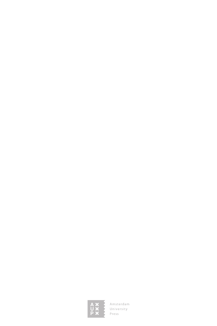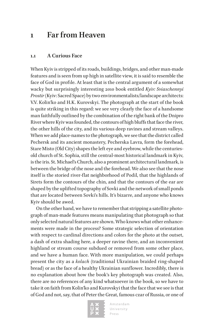## <span id="page-29-0"></span>**1 Far from Heaven**

#### **1.1 A Curious Face**

When Kyiv is stripped of its roads, buildings, bridges, and other man-made features and is seen from up high in satellite view, it is said to resemble the face of God in profile. At least that is the central argument of a somewhat wacky but surprisingly interesting 2010 book entitled *Kyiv: Sviaschennyi Prostir* (Kyiv: Sacred Space) by two environmentalists/landscape architects: V.V. Kolin'ko and H.K. Kurovskyi. The photograph at the start of the book is quite striking in this regard: we see very clearly the face of a handsome man faithfully outlined by the combination of the right bank of the Dnipro River where Kyiv was founded, the contours of high bluffs that face the river, the other hills of the city, and its various deep ravines and stream valleys. When we add place-names to the photograph, we see that the district called Pechersk and its ancient monastery, Pecherska Lavra, form the forehead, Stare Misto (Old City) shapes the left eye and eyebrow, while the centuriesold church of St. Sophia, still the central-most historical landmark in Kyiv, is the iris. St. Michael's Church, also a prominent architectural landmark, is between the bridge of the nose and the forehead. We also see that the nose itself is the storied river-flat neighborhood of Podil, that the highlands of Sirets form the contours of the chin, and that the contours of the ear are shaped by the uplifted topography of Sovki and the network of small ponds that are located between Sovki's hills. It's bizarre, and anyone who knows Kyiv should be awed.

On the other hand, we have to remember that stripping a satellite photograph of man-made features means manipulating that photograph so that only selected natural features are shown. Who knows what other enhancements were made in the process? Some strategic selection of orientation with respect to cardinal directions and colors for the photo at the outset, a dash of extra shading here, a deeper ravine there, and an inconvenient highland or stream course subdued or removed from some other place, and we have a human face. With more manipulation, we could perhaps present the city as a *kolach* (traditional Ukrainian braided ring-shaped bread) or as the face of a healthy Ukrainian sunflower. Incredibly, there is no explanation about how the book's key photograph was created. Also, there are no references of any kind whatsoever in the book, so we have to take it on faith from Kolin'ko and Kurovskyi that the face that we see is that of God and not, say, that of Peter the Great, famous czar of Russia, or one of

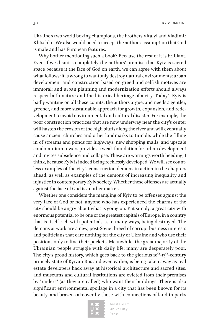30 KYIV, UKRAINE

Ukraine's two world boxing champions, the brothers Vitalyi and Vladimir Klitschko. We also would need to accept the authors' assumption that God is male and has European features.

Why bother mentioning such a book? Because the rest of it is brilliant. Even if we dismiss completely the authors' premise that Kyiv is sacred space because it the face of God on earth, we can agree with them about what follows: it is wrong to wantonly destroy natural environments; urban development and construction based on greed and selfish motives are immoral; and urban planning and modernization efforts should always respect both nature and the historical heritage of a city. Today's Kyiv is badly wanting on all these counts, the authors argue, and needs a gentler, greener, and more sustainable approach for growth, expansion, and redevelopment to avoid environmental and cultural disaster. For example, the poor construction practices that are now underway near the city's center will hasten the erosion of the high bluffs along the river and will eventually cause ancient churches and other landmarks to tumble, while the filling in of streams and ponds for highways, new shopping malls, and upscale condominium towers provides a weak foundation for urban development and invites subsidence and collapse. These are warnings worth heeding, I think, because Kyiv is indeed being recklessly developed. We will see countless examples of the city's construction demons in action in the chapters ahead, as well as examples of the demons of increasing inequality and injustice in contemporary Kyiv society. Whether these offenses are actually against the face of God is another matter.

Whether one considers the mangling of Kyiv to be offenses against the very face of God or not, anyone who has experienced the charms of the city should be angry about what is going on. Put simply, a great city with enormous potential to be one of the greatest capitals of Europe, in a country that is itself rich with potential, is, in many ways, being destroyed. The demons at work are a new, post-Soviet breed of corrupt business interests and politicians that care nothing for the city or Ukraine and who use their positions only to line their pockets. Meanwhile, the great majority of the Ukrainian people struggle with daily life; many are desperately poor. The city's proud history, which goes back to the glorious  $10^{th}$ -13<sup>th</sup>-century princely state of Kyivan Rus and even earlier, is being taken away as real estate developers hack away at historical architecture and sacred sites, and museums and cultural institutions are evicted from their premises by "raiders" (as they are called) who want their buildings. There is also significant environmental spoilage in a city that has been known for its beauty, and brazen takeover by those with connections of land in parks

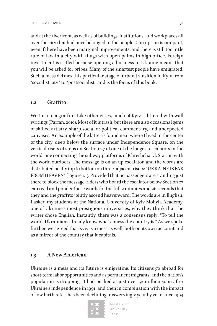<span id="page-31-0"></span>and at the riverfront, as well as of buildings, institutions, and workplaces all over the city that had once belonged to the people. Corruption is rampant, even if there have been marginal improvements, and there is still too little rule of law in a city with thugs with open palms in high office. Foreign investment is stifled because opening a business in Ukraine means that you will be asked for bribes. Many of the smartest people have emigrated. Such a mess defines this particular stage of urban transition in Kyiv from "socialist city" to "postsocialist" and is the focus of this book.

#### **1.2 Graffito**

We turn to a graffito. Like other cities, much of Kyiv is littered with wall writings (Parfan, 2010). Most of it is trash, but there are also occasional gems of skilled artistry, sharp social or political commentary, and unexpected canvases. An example of the latter is found near where I lived in the center of the city, deep below the surface under Independence Square, on the vertical risers of steps on Section 27 of one of the longest escalators in the world, one connecting the subway platforms of Khreshchatyk Station with the world outdoors. The message is on an up escalator, and the words are distributed neatly top to bottom on three adjacent risers: "UKRAINE IS FAR FROM HEAVEN" (Figure 1.1). Provided that no passengers are standing just there to block the message, riders who board the escalator below Section 27 can read and ponder these words for the full 2 minutes and 26 seconds that they and the graffito jointly ascend heavenward. The words are in English. I asked my students at the National University of Kyiv Mohyla Academy, one of Ukraine's most prestigious universities, why they think that the writer chose English. Instantly, there was a consensus reply: "To tell the world. Ukrainians already know what a mess the country is." As we spoke further, we agreed that Kyiv is a mess as well, both on its own account and as a mirror of the country that it capitals.

#### **1.3 A New American**

Ukraine is a mess and its future is emigrating. Its citizens go abroad for short-term labor opportunities and as permanent migrants, and the nation's population is dropping. It had peaked at just over 52 million soon after Ukraine's independence in 1991, and then in combination with the impact of low birth rates, has been declining unswervingly year by year since 1994

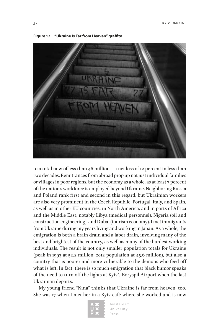<span id="page-32-0"></span>

**Figure 1.1 "Ukraine Is Far from Heaven" graffito**

to a total now of less than 46 million – a net loss of 12 percent in less than two decades. Remittances from abroad prop up not just individual families or villages in poor regions, but the economy as a whole, as at least 7 percent of the nation's workforce is employed beyond Ukraine. Neighboring Russia and Poland rank first and second in this regard, but Ukrainian workers are also very prominent in the Czech Republic, Portugal, Italy, and Spain, as well as in other EU countries, in North America, and in parts of Africa and the Middle East, notably Libya (medical personnel), Nigeria (oil and construction engineering), and Dubai (tourism economy). I met immigrants from Ukraine during my years living and working in Japan. As a whole, the emigration is both a brain drain and a labor drain, involving many of the best and brightest of the country, as well as many of the hardest-working individuals. The result is not only smaller population totals for Ukraine (peak in 1993 at 52.2 million; 2012 population at 45.6 million), but also a country that is poorer and more vulnerable to the demons who feed off what is left. In fact, there is so much emigration that black humor speaks of the need to turn off the lights at Kyiv's Boryspil Airport when the last Ukrainian departs.

My young friend "Nina" thinks that Ukraine is far from heaven, too. She was 17 when I met her in a Kyiv café where she worked and is now

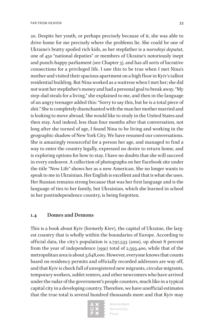<span id="page-33-0"></span>20. Despite her youth, or perhaps precisely because of it, she was able to drive home for me precisely where the problems lie. She could be one of Ukraine's bratty spoiled rich kids, as her stepfather is a *narodnyi deputat*, one of 450 "national deputies" or members of Ukraine's notoriously inept and punch-happy parliament (see Chapter 3), and has all sorts of lucrative connections for a privileged life. I saw this to be true when I met Nina's mother and visited their spacious apartment on a high floor in Kyiv's tallest residential building. But Nina worked as a waitress when I met her; she did not want her stepfather's money and had a personal goal to break away. "My step-dad steals for a living," she explained to me, and then in the language of an angry teenager added this: "Sorry to say this, but he is a total piece of shit." She is completely disenchanted with the man her mother married and is looking to move abroad. She would like to study in the United States and then stay. And indeed, less than four months after that conversation, not long after she turned of age, I found Nina to be living and working in the geographic shadow of New York City. We have resumed our conversations. She is amazingly resourceful for a person her age, and managed to find a way to enter the country legally, expressed no desire to return home, and is exploring options for how to stay. I have no doubts that she will succeed in every endeavor. A collection of photographs on her Facebook site under the title "New Life" shows her as a new American. She no longer wants to speak to me in Ukrainian. Her English is excellent and that is what she uses. Her Russian remains strong because that was her first language and is the language of ties to her family, but Ukrainian, which she learned in school in her postindependence country, is being forgotten.

#### **1.4 Domes and Demons**

This is a book about Kyiv (formerly Kiev), the capital of Ukraine, the largest country that is wholly within the boundaries of Europe. According to official data, the city's population is 2,797,533 (2010), up about 8 percent from the year of independence (1991) total of 2,593,400, while that of the metropolitan area is about 3,648,000. However, everyone knows that counts based on residency permits and officially recorded addresses are way off, and that Kyiv is chock full of unregistered new migrants, circular migrants, temporary workers, sublet renters, and other newcomers who have arrived under the radar of the government's people counters, much like in a typical capital city in a developing country. Therefore, we have unofficial estimates that the true total is several hundred thousands more and that Kyiv may

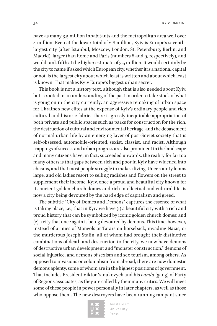have as many 3.5 million inhabitants and the metropolitan area well over 4 million. Even at the lower total of 2.8 million, Kyiv is Europe's seventhlargest city (after Istanbul, Moscow, London, St. Petersburg, Berlin, and Madrid), larger than Rome and Paris (numbers 8 and 9, respectively), and would rank fifth at the higher estimate of 3.5 million. It would certainly be the city to name if asked which European city, whether it is a national capital or not, is the largest city about which least is written and about which least is known. That makes Kyiv Europe's biggest urban secret.

This book is not a history text, although that is also needed about Kyiv, but is rooted in an understanding of the past in order to take stock of what is going on in the city currently: an aggressive remaking of urban space for Ukraine's new elites at the expense of Kyiv's ordinary people and rich cultural and historic fabric. There is grossly inequitable appropriation of both private and public spaces such as parks for construction for the rich, the destruction of cultural and environmental heritage, and the debasement of normal urban life by an emerging layer of post-Soviet society that is self-obsessed, automobile-oriented, sexist, classist, and racist. Although trappings of success and urban progress are also prominent in the landscape and many citizens have, in fact, succeeded upwards, the reality for far too many others is that gaps between rich and poor in Kyiv have widened into chasms, and that most people struggle to make a living. Uncertainty looms large, and old ladies resort to selling radishes and flowers on the street to supplement their income. Kyiv, once a proud and beautiful city known for its ancient golden church domes and rich intellectual and cultural life, is now a city being devoured by the hard edge of capitalism and greed.

The subtitle "City of Domes and Demons" captures the essence of what is taking place, i.e., that in Kyiv we have (1) a beautiful city with a rich and proud history that can be symbolized by iconic golden church domes; and (2) a city that once again is being devoured by demons. This time, however, instead of armies of Mongols or Tatars on horseback, invading Nazis, or the murderous Joseph Stalin, all of whom had brought their distinctive combinations of death and destruction to the city, we now have demons of destructive urban development and "monster construction," demons of social injustice, and demons of sexism and sex tourism, among others. As opposed to invasions or colonialism from abroad, there are now domestic demons aplenty, some of whom are in the highest positions of government. That includes President Viktor Yanukovych and his *banda* (gang) of Party of Regions associates, as they are called by their many critics. We will meet some of these people in power personally in later chapters, as well as those who oppose them. The new destroyers have been running rampant since

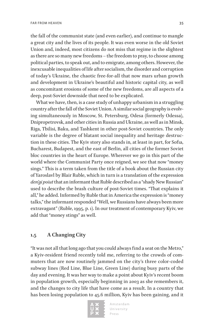<span id="page-35-0"></span>the fall of the communist state (and even earlier), and continue to mangle a great city and the lives of its people. It was even worse in the old Soviet Union and, indeed, most citizens do not miss that regime in the slightest as there are so many new freedoms – the freedom to pray, to choose among political parties, to speak out, and to emigrate, among others. However, the inexcusable inequalities of life after socialism, the disorder and corruption of today's Ukraine, the chaotic free-for-all that now mars urban growth and development in Ukraine's beautiful and historic capital city, as well as concomitant erosions of some of the new freedoms, are all aspects of a deep, post-Soviet downside that need to be explicated.

What we have, then, is a case study of unhappy urbanism in a struggling country after the fall of the Soviet Union. A similar social geography is evolving simultaneously in Moscow, St. Petersburg, Odesa (formerly Odessa), Dnipropetrovsk, and other cities in Russia and Ukraine, as well as in Minsk, Riga, Tbilisi, Baku, and Tashkent in other post-Soviet countries. The only variable is the degree of blatant social inequality and heritage destruction in these cities. The Kyiv story also stands in, at least in part, for Sofia, Bucharest, Budapest, and the east of Berlin, all cities of the former Soviet bloc countries in the heart of Europe. Wherever we go in this part of the world where the Communist Party once reigned, we see that now "money sings." This is a term taken from the title of a book about the Russian city of Yaroslavl by Blair Ruble, which in turn is a translation of the expression *den'gi poiut* that an informant that Ruble described as a "shady New Russian" used to describe the brash culture of post-Soviet times. "That explains it all," he added. Informed by Ruble that in America the expression is "money talks," the informant responded "Well, we Russians have always been more extravagant" (Ruble, 1995, p. 1). In our treatment of contemporary Kyiv, we add that "money stings" as well.

#### **1.5 A Changing City**

"It was not all that long ago that you could always find a seat on the Metro," a Kyiv-resident friend recently told me, referring to the crowds of commuters that are now routinely jammed on the city's three color-coded subway lines (Red Line, Blue Line, Green Line) during busy parts of the day and evening. It was her way to make a point about Kyiv's recent boom in population growth, especially beginning in 2003 as she remembers it, and the changes to city life that have come as a result. In a country that has been losing population to 45.6 million, Kyiv has been gaining, and it

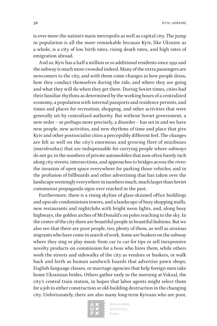36 K YIV, UKRAINE

is ever more the nation's main metropolis as well as capital city. The jump in population is all the more remarkable because Kyiv, like Ukraine as a whole, is a city of low birth rates, rising death rates, and high rates of emigration abroad.

And so, Kyiv has a half a million or so additional residents since 1991 and the subway is much more crowded indeed. Many of the extra passengers are newcomers to the city, and with them come changes in how people dress, how they conduct themselves during the ride, and where they are going and what they will do when they get there. During Soviet times, cities had their familiar rhythms as determined by the working hours of a centralized economy, a population with internal passports and residence permits, and times and places for recreation, shopping, and other activities that were generally set by centralized authority. But without Soviet government, a new order – or perhaps more precisely, a disorder – has set in and we have new people, new activities, and new rhythms of time and place that give Kyiv and other postsocialist cities a perceptibly different feel. The changes are felt as well on the city's enormous and growing fleet of minibuses (*marshrutkas*) that are indispensable for carrying people where subways do not go; in the numbers of private automobiles that now often barely inch along city streets, intersections, and approaches to bridges across the river; the invasion of open space everywhere for parking those vehicles; and in the profusion of billboards and other advertising that has taken over the landscape seemingly everywhere in numbers much, much larger than Soviet communist propaganda signs ever reached in the past.

Furthermore, there is a rising skyline of glass-skinned office buildings and upscale condominium towers, and a landscape of busy shopping malls, new restaurants and nightclubs with bright neon lights, and, along busy highways, the golden arches of McDonald's on poles reaching to the sky. In the center of the city there are beautiful people in beautiful fashions. But we also see that there are poor people, too, plenty of them, as well as anxious migrants who have come in search of work. Some are buskers on the subway where they sing or play music from car to car for tips or sell inexpensive novelty products on commission for a boss who hires them, while others work the streets and sidewalks of the city as vendors or buskers, or walk back and forth as human sandwich boards that advertise pawn shops, English-language classes, or marriage agencies that help foreign men take home Ukrainian brides. Others gather early in the morning at Vokzal, the city's central train station, in hopes that labor agents might select them for a job in either construction or old-building destruction in the changing city. Unfortunately, there are also many long-term Kyivans who are poor,

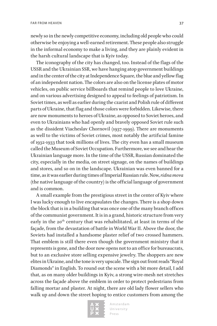newly so in the newly competitive economy, including old people who could otherwise be enjoying a well-earned retirement. These people also struggle in the informal economy to make a living, and they are plainly evident in the harsh cultural landscape that is Kyiv today.

The iconography of the city has changed, too. Instead of the flags of the USSR and the Ukrainian SSR, we have hanging atop government buildings and in the center of the city at Independence Square, the blue and yellow flag of an independent nation. The colors are also on the license plates of motor vehicles, on public service billboards that remind people to love Ukraine, and on various advertising designed to appeal to feelings of patriotism. In Soviet times, as well as earlier during the czarist and Polish rule of different parts of Ukraine, that flag and those colors were forbidden. Likewise, there are now monuments to heroes of Ukraine, as opposed to Soviet heroes, and even to Ukrainians who had openly and bravely opposed Soviet rule such as the dissident Viacheslav Chornovil (1937-1999). There are monuments as well to the victims of Soviet crimes, most notably the artificial famine of 1932-1933 that took millions of lives. The city even has a small museum called the Museum of Soviet Occupation. Furthermore, we see and hear the Ukrainian language more. In the time of the USSR, Russian dominated the city, especially in the media, on street signage, on the names of buildings and stores, and so on in the landscape. Ukrainian was even banned for a time, as it was earlier during times of Imperial Russian rule. Now, *ridna mova* (the native language of the country) is the official language of government and is common.

A small example from the prestigious street in the center of Kyiv where I was lucky enough to live encapsulates the changes. There is a shop down the block that is in a building that was once one of the many branch offices of the communist government. It is in a grand, historic structure from very early in the 20<sup>th</sup> century that was rehabilitated, at least in terms of the façade, from the devastation of battle in World War II. Above the door, the Soviets had installed a handsome plaster relief of two crossed hammers. That emblem is still there even though the government ministry that it represents is gone, and the door now opens not to an office for bureaucrats, but to an exclusive store selling expensive jewelry. The shoppers are new elites in Ukraine, and the tone is very upscale. The sign out front reads "Royal Diamonds" in English. To round out the scene with a bit more detail, I add that, as on many older buildings in Kyiv, a strong wire-mesh net stretches across the façade above the emblem in order to protect pedestrians from falling mortar and plaster. At night, there are old lady flower sellers who walk up and down the street hoping to entice customers from among the

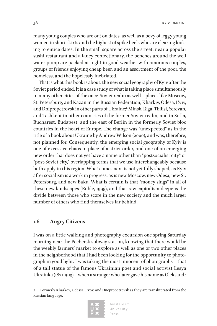<span id="page-38-0"></span>many young couples who are out on dates, as well as a bevy of leggy young women in short skirts and the highest of spike heels who are clearing looking to entice dates. In the small square across the street, near a popular sushi restaurant and a fancy confectionary, the benches around the well water pump are packed at night in good weather with amorous couples, groups of friends enjoying cheap beer, and an assortment of the poor, the homeless, and the hopelessly inebriated.

That is what this book is about: the new social geography of Kyiv after the Soviet period ended. It is a case study of what is taking place simultaneously in many other cities of the once-Soviet realm as well – places like Moscow, St. Petersburg, and Kazan in the Russian Federation; Kharkiv, Odesa, L'viv, and Dnipropetrovsk in other parts of Ukraine;2 Minsk, Riga, Tbilisi, Yerevan, and Tashkent in other countries of the former Soviet realm, and in Sofia, Bucharest, Budapest, and the east of Berlin in the formerly Soviet bloc countries in the heart of Europe. The change was "unexpected" as in the title of a book about Ukraine by Andrew Wilson (2000), and was, therefore, not planned for. Consequently, the emerging social geography of Kyiv is one of excessive chaos in place of a strict order, and one of an emerging new order that does not yet have a name other than "postsocialist city" or "post-Soviet city," overlapping terms that we use interchangeably because both apply in this region. What comes next is not yet fully shaped, as Kyiv after socialism is a work in progress, as is new Moscow, new Odesa, new St. Petersburg, and new Baku. What is certain is that "money sings" in all of these new landscapes (Ruble, 1995), and that raw capitalism deepens the divide between those who score in the new society and the much larger number of others who find themselves far behind.

#### **1.6 Angry Citizens**

I was on a little walking and photography excursion one spring Saturday morning near the Pechersk subway station, knowing that there would be the weekly farmers' market to explore as well as one or two other places in the neighborhood that I had been looking for the opportunity to photograph in good light. I was taking the most innocent of photographs – that of a tall statue of the famous Ukrainian poet and social activist Lesya Ukrainka (1871-1913) – when a stranger who later gave his name as Oleksandr

2 Formerly Kharkov, Odessa, L'vov, and Dnepropetrovsk as they are transliterated from the Russian language.

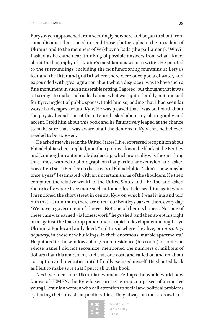Borysovych approached from seemingly nowhere and began to shout from some distance that I need to send those photographs to the president of Ukraine and to the members of Verkhovna Rada (the parliament). "Why?" I asked as he came near, thinking of possible answers from what I knew about the biography of Ukraine's most famous woman writer. He pointed to the surroundings, including the nonfunctioning fountains at Lesya's feet and the litter and graffiti where there were once pools of water, and expounded with great agitation about what a disgrace it was to have such a fine monument in such a miserable setting. I agreed, but thought that it was bit strange to make such a deal about what was, quite frankly, not unusual for Kyiv: neglect of public spaces. I told him so, adding that I had seen far worse landscapes around Kyiv. He was pleased that I was on board about the physical condition of the city, and asked about my photography and accent. I told him about this book and he figuratively leaped at the chance to make sure that I was aware of all the demons in Kyiv that he believed needed to be exposed.

He asked me where in the United States I live, expressed recognition about Philadelphia when I replied, and then pointed down the block at the Bentley and Lamborghini automobile dealership, which ironically was the one thing that I most wanted to photograph on that particular excursion, and asked how often I see a Bentley on the streets of Philadelphia. "I don't know, maybe once a year," I estimated with an uncertain shrug of the shoulders. He then compared the relative wealth of the United States and Ukraine, and asked rhetorically where I see more such automobiles. I pleased him again when I mentioned the short street in central Kyiv on which I was living and told him that, at minimum, there are often four Bentleys parked there every day. "We have a government of thieves. Not one of them is honest. Not one of these cars was earned via honest work," he gushed, and then swept his right arm against the backdrop panorama of rapid redevelopment along Lesya Ukrainka Boulevard and added: "and this is where they live, our *narodnyi deputaty*, in these new buildings, in their enormous, marble apartments." He pointed to the windows of a 17-room residence (his count) of someone whose name I did not recognize, mentioned the numbers of millions of dollars that this apartment and that one cost, and railed on and on about corruption and inequities until I finally excused myself. He shouted back as I left to make sure that I put it all in the book.

Next, we meet four Ukrainian women. Perhaps the whole world now knows of FEMEN, the Kyiv-based protest group comprised of attractive young Ukrainian women who call attention to social and political problems by baring their breasts at public rallies. They always attract a crowd and

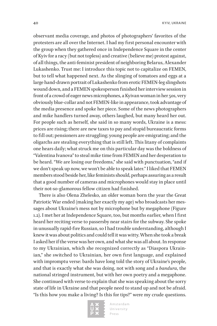observant media coverage, and photos of photographers' favorites of the protesters are all over the Internet. I had my first personal encounter with the group when they gathered once in Independence Square in the center of Kyiv for a racy (but not topless) and creative (believe me) protest against, of all things, the anti-feminist president of neighboring Belarus, Alexander Lukashenko. Trust me: I introduce this topic not to capitalize on FEMEN, but to tell what happened next. As the slinging of tomatoes and eggs at a large hand-drawn portrait of Lukashenko from erotic FEMEN-leg slingshots wound down, and a FEMEN spokesperson finished her interview session in front of a crowd of eager news microphones, a Kyivan woman in her 50s, very obviously blue-collar and not FEMEN-like in appearance, took advantage of the media presence and spoke her piece. Some of the news photographers and mike handlers turned away, others laughed, but many heard her out. For people such as herself, she said in so many words, Ukraine is a mess: prices are rising; there are new taxes to pay and stupid bureaucratic forms to fill out; pensioners are struggling; young people are emigrating; and the oligarchs are stealing everything that is still left. This litany of complaints one hears daily; what struck me on this particular day was the boldness of "Valentina Ivanova" to steal mike time from FEMEN and her desperation to be heard. "We are losing our freedoms," she said with punctuation, "and if we don't speak up now, we won't be able to speak later." I liked that FEMEN members stood beside her, like feminists should, perhaps assuring as a result that a good number of cameras and microphones would stay in place until their not-so-glamorous fellow citizen had finished.

There is also Olena Zhelesko, an older woman born the year the Great Patriotic War ended (making her exactly my age) who broadcasts her messages about Ukraine's mess not by microphone but by megaphone (Figure 1.2). I met her at Independence Square, too, but months earlier, when I first heard her reciting verse to passersby near stairs for the subway. She spoke in unusually rapid-fire Russian, so I had trouble understanding, although I knew it was about politics and could tell it was witty. When she took a break I asked her if the verse was her own, and what she was all about. In response to my Ukrainian, which she recognized correctly as "Diaspora Ukrainian," she switched to Ukrainian, her own first language, and explained with impromptu verse: bards have long told the story of Ukraine's people, and that is exactly what she was doing, not with song and a *bandura*, the national stringed instrument, but with her own poetry and a megaphone. She continued with verse to explain that she was speaking about the sorry state of life in Ukraine and that people need to stand up and not be afraid. "Is this how you make a living? Is this for tips?" were my crude questions.

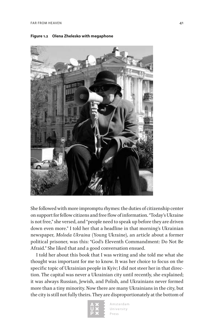<span id="page-41-0"></span>

#### **Figure 1.2 Olena Zhelesko with megaphone**

She followed with more impromptu rhymes: the duties of citizenship center on support for fellow citizens and free flow of information. "Today's Ukraine is not free," she versed, and "people need to speak up before they are driven down even more." I told her that a headline in that morning's Ukrainian newspaper, *Moloda Ukraina* (Young Ukraine), an article about a former political prisoner, was this: "God's Eleventh Commandment: Do Not Be Afraid." She liked that and a good conversation ensued.

I told her about this book that I was writing and she told me what she thought was important for me to know. It was her choice to focus on the specific topic of Ukrainian people in Kyiv; I did not steer her in that direction. The capital was never a Ukrainian city until recently, she explained; it was always Russian, Jewish, and Polish, and Ukrainians never formed more than a tiny minority. Now there are many Ukrainians in the city, but the city is still not fully theirs. They are disproportionately at the bottom of

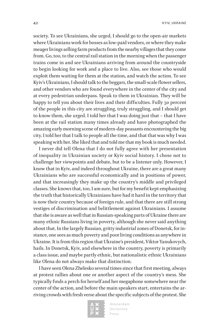society. To see Ukrainians, she urged, I should go to the open-air markets where Ukrainians work for bosses as low-paid vendors, or where they make meager livings selling farm products from the nearby villages that they come from. Go, too, to the central rail station in the morning when the passenger trains come in and see Ukrainians arriving from around the countryside to begin looking for work and a place to live. Also, see those who would exploit them waiting for them at the station, and watch the action. To see Kyiv's Ukrainians, I should talk to the beggars, the small-scale flower sellers, and other vendors who are found everywhere in the center of the city and at every pedestrian underpass. Speak to them in Ukrainian. They will be happy to tell you about their lives and their difficulties. Fully 50 percent of the people in this city are struggling, truly struggling, and I should get to know them, she urged. I told her that I was doing just that – that I have been at the rail station many times already and have photographed the amazing early morning scene of modern-day peasants encountering the big city. I told her that I talk to people all the time, and that that was why I was speaking with her. She liked that and told me that my book is much needed.

I never did tell Olena that I do not fully agree with her presentation of inequality in Ukrainian society or Kyiv social history. I chose not to challenge her viewpoints and debate, but to be a listener only. However, I know that in Kyiv, and indeed throughout Ukraine, there are a great many Ukrainians who are successful economically and in positions of power, and that increasingly they make up the country's middle and privileged classes. She knows that, too, I am sure, but for my benefit kept emphasizing the truth that historically Ukrainians have had it hard in the territory that is now their country because of foreign rule, and that there are still strong vestiges of discrimination and belittlement against Ukrainians. I assume that she is aware as well that in Russian-speaking parts of Ukraine there are many ethnic Russians living in poverty, although she never said anything about that. In the largely Russian, gritty industrial zones of Donetsk, for instance, one sees as much poverty and poor living conditions as anywhere in Ukraine. It is from this region that Ukraine's president, Viktor Yanukovych, hails. In Donetsk, Kyiv, and elsewhere in the country, poverty is primarily a class issue, and maybe partly ethnic, but nationalistic ethnic Ukrainians like Olena do not always make that distinction.

I have seen Olena Zhelesko several times since that first meeting, always at protest rallies about one or another aspect of the country's mess. She typically finds a perch for herself and her megaphone somewhere near the center of the action, and before the main speakers start, entertains the arriving crowds with fresh verse about the specific subjects of the protest. She

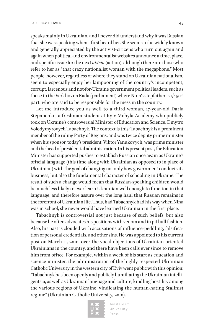speaks mainly in Ukrainian, and I never did understand why it was Russian that she was speaking when I first heard her. She seems to be widely known and generally appreciated by the activist-citizens who turn out again and again when political and environmentalist websites announce a time, place, and specific issue for the next *aktsia* (action), although there are those who refer to her as "that crazy nationalist woman with the megaphone." Most people, however, regardless of where they stand on Ukrainian nationalism, seem to especially enjoy her lampooning of the country's incompetent, corrupt, larcenous and not-for-Ukraine government political leaders, such as those in the Verkhovna Rada (parliament) where Nina's stepfather is  $1/450^{th}$ part, who are said to be responsible for the mess in the country.

Let me introduce you as well to a third woman, 17-year-old Daria Stepanenko, a freshman student at Kyiv Mohyla Academy who publicly took on Ukraine's controversial Minister of Education and Science, Dmytro Volodymyrovych Tabachnyk. The context is this: Tabachnyk is a prominent member of the ruling Party of Regions, and was twice deputy prime minister when his sponsor, today's president, Viktor Yanukovych, was prime minister and the head of presidential administration. In his present post, the Education Minister has supported pushes to establish Russian once again as Ukraine's official language (this time along with Ukrainian as opposed to in place of Ukrainian) with the goal of changing not only how government conducts its business, but also the fundamental character of schooling in Ukraine. The result of such a change would mean that Russian-speaking children would be much less likely to ever learn Ukrainian well enough to function in that language, and therefore assure over the long haul that Russian remains in the forefront of Ukrainian life. Thus, had Tabachnyk had his way when Nina was in school, she never would have learned Ukrainian in the first place.

Tabachnyk is controversial not just because of such beliefs, but also because he often advocates his positions with venom and in pit bull fashion. Also, his past is clouded with accusations of influence-peddling, falsification of personal credentials, and other sins. He was appointed to his current post on March 11, 2010, over the vocal objections of Ukrainian-oriented Ukrainians in the country, and there have been calls ever since to remove him from office. For example, within a week of his start as education and science minister, the administration of the highly respected Ukrainian Catholic University in the western city of L'viv went public with this opinion: "Tabachnyk has been openly and publicly humiliating the Ukrainian intelligentsia, as well as Ukrainian language and culture, kindling hostility among the various regions of Ukraine, vindicating the human-hating Stalinist regime" (Ukrainian Catholic University, 2010).

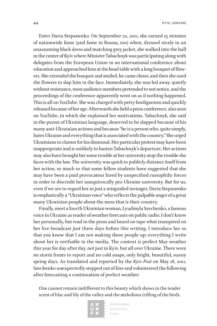**44** KYIV, UKRAINE

Enter Daria Stepanenko. On September 22, 2011, she earned 15 minutes of nationwide fame (and fame in Russia, too) when, dressed nicely in an unassuming black dress and matching grey jacket, she walked into the hall in the center of Kyiv where Minister Tabachnyk was participating along with delegates from the European Union in an international conference about education and approached him at the head table with a long bouquet of flowers. She extended the bouquet and smiled, he came closer, and then she used the flowers to slap him in the face. Immediately, she was led away, quietly without resistance, most audience members pretended to not notice, and the proceedings of the conference apparently went on as if nothing happened. This is all on YouTube. She was charged with petty hooliganism and quickly released because of her age. Afterwards she held a press conference, also seen on YouTube, in which she explained her motivations. Tabachnyk, she said in the purest of Ukrainian language, deserved to be slapped because of his many anti-Ukrainian actions and because "he is a person who, quite simply, hates Ukraine and everything that is associated with the country." She urged Ukrainians to clamor for his dismissal. Her particular protest may have been inappropriate and is unlikely to hasten Tabachnyk's departure. Her actions may also have brought her some trouble at her university atop the trouble she faces with the law. The university was quick to publicly distance itself from her action, so much so that some fellow students have suggested that she may have been a paid provocateur hired by unspecified russophilic forces in order to discredit her unequivocally pro-Ukraine university. But for us, even if we are to regard her as just a misguided teenager, Daria Stepanenko is emphatically a "Ukrainian voice" who reflects the palpable anger of a great many Ukrainian people about the mess that is their country.

Finally, meet a fourth Ukrainian woman, Lyudmyla Savchenko, a famous voice in Ukraine as reader of weather forecasts on public radio. I don't know her personally, but read in the press and heard on tape what transpired on her live broadcast just three days before this writing. I introduce her so that you know that I am not making these people up; everything I write about her is verifiable in the media. The context is perfect May weather this year for day after day, not just in Kyiv, but all over Ukraine. There were no storm fronts to report and no cold snaps, only bright, beautiful, sunny spring days. As translated and reported by the *Kyiv Post* on May 18, 2011, Savchenko unexpectedly stepped out of line and volunteered the following after forecasting a continuation of perfect weather:

One cannot remain indifferent to this beauty which shows in the tender scent of lilac and lily of the valley and the melodious trilling of the birds.

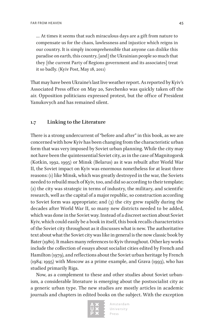<span id="page-45-0"></span>… At times it seems that such miraculous days are a gift from nature to compensate us for the chaos, lawlessness and injustice which reigns in our country. It is simply incomprehensible that anyone can dislike this paradise on earth, this country, [and] the Ukrainian people so much that they [the current Party of Regions government and its associates] treat it so badly. (Kyiv Post, May 18, 2011)

That may have been Ukraine's last live weather report. As reported by Kyiv's Associated Press office on May 20, Savchenko was quickly taken off the air. Opposition politicians expressed protest, but the office of President Yanukovych and has remained silent.

#### **1.7 Linking to the Literature**

There is a strong undercurrent of "before and after" in this book, as we are concerned with how Kyiv has been changing from the characteristic urban form that was very imposed by Soviet urban planning. While the city may not have been the quintessential Soviet city, as in the case of Magnitogorsk (Kotkin, 1992, 1995) or Minsk (Belarus) as it was rebuilt after World War II, the Soviet impact on Kyiv was enormous nonetheless for at least three reasons: (1) like Minsk, which was greatly destroyed in the war, the Soviets needed to rebuild much of Kyiv, too, and did so according to their template; (2) the city was strategic in terms of industry, the military, and scientific research, well as the capital of a major republic, so construction according to Soviet form was appropriate; and (3) the city grew rapidly during the decades after World War II, so many new districts needed to be added, which was done in the Soviet way. Instead of a discreet section about Soviet Kyiv, which could easily be a book in itself, this book recalls characteristics of the Soviet city throughout as it discusses what is new. The authoritative text about what the Soviet city was like in general is the now classic book by Bater (1980). It makes many references to Kyiv throughout. Other key works include the collection of essays about socialist cities edited by French and Hamilton (1979), and reflections about the Soviet urban heritage by French (1984; 1995) with Moscow as a prime example, and Grava (1993), who has studied primarily Riga.

Now, as a complement to these and other studies about Soviet urbanism, a considerable literature is emerging about the postsocialist city as a generic urban type. The new studies are mostly articles in academic journals and chapters in edited books on the subject. With the exception

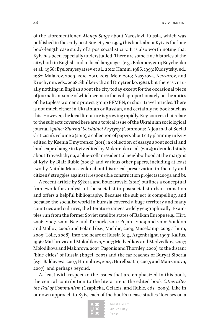46 K YIV, UKRAINE

of the aforementioned *Money Sings* about Yaroslavl, Russia, which was published in the early post-Soviet year 1995, this book about Kyiv is the lone book-length case study of a postsocialist city. It is also worth noting that Kyiv has been especially understudied. There are some fine histories of the city, both in English and in local languages (e.g., Bakanov, 2011; Boychenko et al., 1968; Byelomyesyatsev et al., 2012; Hamm, 1986, 1993; Kudrytsky, ed., 1982; Malakov, 2009, 2010, 2011, 2013; Meir, 2010; Nasyrova, Nevzorov, and Kruchynin, eds., 2008; Shulkevych and Dmytrenko, 1982), but there is virtually nothing in English about the city today except for the occasional piece of journalism, some of which seems to focus disproportionately on the antics of the topless women's protest group FEMEN, or short travel articles. There is not much either in Ukrainian or Russian, and certainly no book such as this. However, the local literature is growing rapidly. Key sources that relate to the subjects covered here are a topical issue of the Ukrainian sociological journal *Spilne: Zhurnal Sotsialnoi Krytyky* (Commons: A Journal of Social Criticism), volume 2 (2010); a collection of papers about city planning in Kyiv edited by Ksenia Dmytrenko (2011); a collection of essays about social and landscape change in Kyiv edited by Makarenko et al. (2012); a detailed study about Troyeshchyna, a blue-collar residential neighborhood at the margins of Kyiv, by Blair Ruble (2003); and various other papers, including at least two by Natalia Moussienko about historical preservation in the city and citizens' struggles against irresponsible construction projects (2009a and b).

A recent article by Sýkora and Bouzarovski (2012) outlines a conceptual framework for analysis of the socialist to postsocialist urban transition and offers a helpful bibliography. Because the subject is compelling, and because the socialist world in Eurasia covered a huge territory and many countries and cultures, the literature ranges widely geographically. Examples run from the former Soviet satellite states of Balkan Europe (e.g., Hirt, 2006, 2007, 2010, Nae and Turnock, 2011; Pojani, 2009 and 2010; Staddon and Mollov, 2000) and Poland (e.g., Michlic, 2009; Musekamp, 2009; Thum, 2009; Tölle, 2008), into the heart of Russia (e.g., Argenbright, 1999; Kalfus, 1996; Makhrova and Molodikova, 2007; Medvedkov and Medvedkov, 2007; Molodikova and Makhrova, 2007; Pagonis and Thornley, 2000), to the distant "blue cities" of Russia (Engel, 2007) and the far reaches of Buryat Siberia (e.g., Baldayeva, 2007; Humphrey, 2007; Hürelbaatar, 2007; and Manzanova, 2007), and perhaps beyond.

At least with respect to the issues that are emphasized in this book, the central contribution to the literature is the edited book *Cities after the Fall of Communism* (Czaplicka, Gelazis, and Ruble, eds., 2009). Like in our own approach to Kyiv, each of the book's 11 case studies "focuses on a

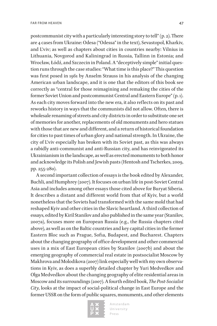postcommunist city with a particularly interesting story to tell" (p. 2). There are 4 cases from Ukraine: Odesa ("Odessa" in the text), Sevastopol, Kharkiv, and L'viv; as well as chapters about cities in countries nearby: Vilnius in Lithuania, Novgorod and Kaliningrad in Russia, Tallinn in Estonia; and Wrocław, Łódź, and Szczecin in Poland. A "deceptively simple" initial question runs through the case studies: "What time is this place?" This question was first posed in 1961 by Anselm Strauss in his analysis of the changing American urban landscape, and it is one that the editors of this book see correctly as "central for those reimagining and remaking the cities of the former Soviet Union and postcommunist Central and Eastern Europe" (p. 1). As each city moves forward into the new era, it also reflects on its past and reworks history in ways that the communists did not allow. Often, there is wholesale renaming of streets and city districts in order to substitute one set of memories for another, replacements of old monuments and hero statues with those that are new and different, and a return of historical foundation for cities to past times of urban glory and national strength. In Ukraine, the city of L'viv especially has broken with its Soviet past, as this was always a rabidly anti-communist and anti-Russian city, and has reinvigorated its Ukrainianism in the landscape, as well as erected monuments to both honor and acknowledge its Polish and Jewish pasts (Hentosh and Tscherkes, 2009, pp. 255-280).

A second important collection of essays is the book edited by Alexander, Buchli, and Humphrey (2007). It focuses on urban life in post-Soviet Central Asia and includes among other essays those cited above for Buryat Siberia. It describes a distant and different world from that of Kyiv, but a world nonetheless that the Soviets had transformed with the same mold that had reshaped Kyiv and other cities in the Slavic heartland. A third collection of essays, edited by Kiril Stanilov and also published in the same year (Stanilov, 2007a), focuses more on European Russia (e.g., the Russia chapters cited above), as well as on the Baltic countries and key capital cities in the former Eastern Bloc such as Prague, Sofia, Budapest, and Bucharest. Chapters about the changing geography of office development and other commercial uses in a mix of East European cities by Stanilov (2007b) and about the emerging geography of commercial real estate in postsocialist Moscow by Makhrova and Molodikova (2007) link especially well with my own observations in Kyiv, as does a superbly detailed chapter by Yuri Medvedkov and Olga Medvedkov about the changing geography of elite residential areas in Moscow and its surroundings (2007). A fourth edited book, *The Post-Socialist City*, looks at the impact of social-political change in East Europe and the former USSR on the form of public squares, monuments, and other elements

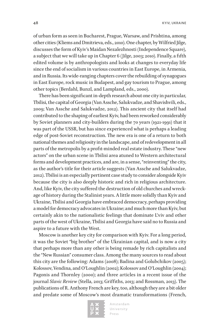of urban form as seen in Bucharest, Prague, Warsaw, and Prishtina, among other cities (Kliems and Dmitrieva, eds., 2010). One chapter, by Wilfried Jilge, discusses the form of Kyiv's Maidan Nezalezhnosti (Independence Square), a subject that we will take up in Chapter 6 (Jilge, 2003; 2010). Finally, a fifth edited volume is by anthropologists and looks at changes to everyday life since the end of socialism in various countries in East Europe, in Armenia, and in Russia. Its wide-ranging chapters cover the rebuilding of synagogues in East Europe, rock music in Budapest, and gay tourism to Prague, among other topics (Berdahl, Bunzl, and Lampland, eds., 2000).

There has been significant in-depth research about one city in particular, Tbilisi, the capital of Georgia (Van Assche, Salukvadze, and Shavishvili, eds., 2009; Van Assche and Salukvadze, 2012). This ancient city that itself had contributed to the shaping of earliest Kyiv, had been reworked considerably by Soviet planners and city-builders during the 70 years (1921-1991) that it was part of the USSR, but has since experienced what is perhaps a leading edge of post-Soviet reconstruction. The new era is one of a return to both national themes and religiosity in the landscape, and of redevelopment in all parts of the metropolis by a profit-minded real estate industry. These "new actors" on the urban scene in Tbilisi area atuned to Western architectural forms and development practices, and are, in a sense, "reinventing" the city, as the author's title for their article suggests (Van Assche and Salukvadze, 2012). Tbilisi is an especially pertinent case study to consider alongside Kyiv because the city is also deeply historic and rich in religious architecture. And, like Kyiv, the city suffered the destruction of old churches and wreckage of history during the Stalinist years. A little more solidly than Kyiv and Ukraine, Tbilisi and Georgia have embraced democracy, perhaps providing a model for democracy advocates in Ukraine; and much more than Kyiv, but certainly akin to the nationalistic feelings that dominate L'viv and other parts of the west of Ukraine, Tbilisi and Georgia have said no to Russia and aspire to a future with the West.

Moscow is another key city for comparison with Kyiv. For a long period, it was the Soviet "big brother" of the Ukrainian capital, and is now a city that perhaps more than any other is being remade by rich capitalists and the "New Russian" consumer class. Among the many sources to read about this city are the following: Adams (2008); Badina and Golubchikov (2005); Kolossov, Vendina, and O'Loughlin (2002); Kolossov and O'Loughlin (2004); Pagonis and Thornley (2000); and three articles in a recent issue of the journal *Slavic Review* (Stella, 2013; Griffiths, 2013; and Rossman, 2013). The publications of R. Anthony French are key, too, although they are a bit older and predate some of Moscow's most dramatic transformations (French,

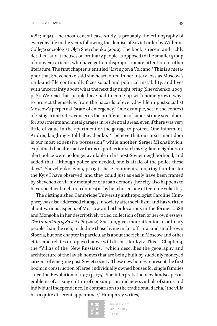1984; 1995). The most central case study is probably the ethnography of everyday life in the years following the demise of Soviet order by Williams College sociologist Olga Shevchenko (2009). The book is recent and richly detailed, and it focuses on ordinary people as opposed to the smaller group of nouveaux riches who have gotten disproportionate attention in other literature. The first chapter is entitled "Living on a Volcano." This is a metaphor that Shevchenko said she heard often in her interviews as Moscow's rank-and-file continually faces social and political instability, and lives with uncertainty about what the next day might bring (Shevchenko, 2009, p. 8). We read that people have had to come up with home-grown ways to protect themselves from the hazards of everyday life in postsocialist Moscow's perpetual "state of emergency." One example, set in the context of rising crime rates, concerns the proliferation of super-strong steel doors for apartments and metal garages in residential areas, even if there was very little of value in the apartment or the garage to protect. One informant, Andrei, laughingly told Shevchenko, "I believe that our apartment door is our most expensive possession," while another, Sergei Mikhailovich, explained that alternative forms of protection such as vigilant neighbors or alert police were no longer available in his post-Soviet neighborhood, and added that "although police are needed, one is afraid of the police these days" (Shevchenko, 2009, p. 113.) These comments, too, ring familiar for the Kyiv I have observed, and they could just as easily have been framed by Shevchenko via my metaphor of urban demons (her city also happens to have spectacular church domes) as by her chosen one of tectonic volatility.

The distinguished Cambridge University anthropologist Caroline Humphrey has also addressed changes in society after socialism, and has written about various aspects of Moscow and other locations in the former USSR and Mongolia in her descriptively titled collection of ten of her own essays: *The Unmaking of Soviet Life* (2002). She, too, gives more attention to ordinary people than the rich, including those living in far-off rural and small-town Siberia, but one chapter in particular is about the rich in Moscow and other cities and relates to topics that we will discuss for Kyiv. This is Chapter 9, the "Villas of the 'New Russians,'" which describes the geography and architecture of the lavish homes that are being built by suddenly moneyed citizens of emerging post-Soviet society. These new homes represent the first boom in construction of large, individually owned houses for single families since the Revolution of 1917 (p. 175). She interprets the new landscapes as emblems of a rising culture of consumption and new symbols of status and individual independence. In comparison to the traditional dacha, "the villa has a quite different appearance," Humphrey writes,

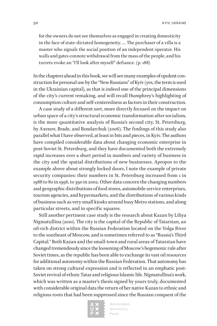50 KYIV, UKRAINE

for the owners do not see themselves as engaged in creating domesticity in the face of state-dictated homogeneity. … The purchaser of a villa is a master who signals the social position of an independent operator. His walls and gates connote withdrawal from the mass of the people, and his turrets evoke an "I'll look after myself" defiance. (p. 188)

In the chapters ahead in this book, we will see many examples of opulent construction for personal use by the "New Russians" of Kyiv (yes, the term is used in the Ukrainian capital), as that is indeed one of the principal dimensions of the city's current remaking, and will recall Humphrey's highlighting of consumption culture and self-centeredness as factors in their construction.

A case study of a different sort, more directly focused on the impact on urban space of a city's structural economic transformation after socialism, is the more quantitative analysis of Russia's second city, St. Petersburg, by Axenov, Brade, and Bondarchuk (2006). The findings of this study also parallel what I have observed, at least in bits and pieces, in Kyiv. The authors have compiled considerable data about changing economic enterprise in post-Soviet St. Petersburg, and they have documented both the extremely rapid increases over a short period in numbers and variety of business in the city and the spatial distributions of new businesses. Apropos to the example above about strongly locked doors, I note the example of private security companies: their numbers in St. Petersburg increased from 1 in 1988 to 80 in 1996, to 390 in 2002. Other data concern the changing numbers and geographic distributions of food stores, automobile service enterprises, tourism agencies, and hypermarkets, and the distributions of various kinds of business such as very small kiosks around busy Metro stations, and along particular streets, and in specific squares.

Still another pertinent case study is the research about Kazan by Liliya Nigmatullina (2010). The city is the capital of the Republic of Tatarstan, an oil-rich district within the Russian Federation located on the Volga River to the southeast of Moscow, and is sometimes referred to as "Russia's Third Capital." Both Kazan and the small-town and rural areas of Tatarstan have changed tremendously since the loosening of Moscow's hegemonic rule after Soviet times, as the republic has been able to exchange its vast oil resources for additional autonomy within the Russian Federation. That autonomy has taken on strong cultural expression and is reflected in an emphatic post-Soviet revival of ethnic Tatar and religious Islamic life. Nigmatullina's work, which was written as a master's thesis signed by yours truly, documented with considerable original data the return of her native Kazan to ethnic and religious roots that had been suppressed since the Russian conquest of the

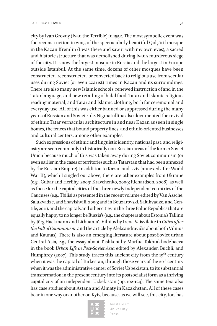city by Ivan Grozny (Ivan the Terrible) in 1552. The most symbolic event was the reconstruction in 2005 of the spectacularly beautiful Qolşärif mosque in the Kazan Kremlin (I was there and saw it with my own eyes), a sacred and historic structure that was demolished during Ivan's murderous siege of the city. It is now the largest mosque in Russia and the largest in Europe outside Istanbul. At the same time, dozens of other mosques have been constructed, reconstructed, or converted back to religious use from secular uses during Soviet (or even czarist) times in Kazan and its surroundings. There are also many new Islamic schools, renewed instruction of and in the Tatar language, and new retailing of halal food, Tatar and Islamic religious reading material, and Tatar and Islamic clothing, both for ceremonial and everyday use. All of this was either banned or suppressed during the many years of Russian and Soviet rule. Nigmatullina also documented the revival of ethnic Tatar vernacular architecture in and near Kazan as seen in single homes, the fences that bound property lines, and ethnic-oriented businesses and cultural centers, among other examples.

Such expressions of ethnic and linguistic identity, national past, and religiosity are seen commonly in historically non-Russian areas of the former Soviet Union because much of this was taken away during Soviet communism (or even earlier in the cases of territories such as Tatarstan that had been annexed by the Russian Empire). In addition to Kazan and L'viv (annexed after World War II), which I singled out above, there are other examples from Ukraine (e.g., Gubar and Herlihy, 2009; Kravchenko, 2009; Richardson, 2008), as well as those for the capital cities of the three newly independent countries of the Caucuses (e.g., Tbilisi as presented in the recent volume edited by Van Assche, Salukvadze, and Shavishvili, 2009; and in Bouzarovski, Salukvadze, and Gentile, 2011), and the capitals and other cities in the three Baltic Republics that are equally happy to no longer be Russia's (e.g., the chapters about Estonia's Tallinn by Jörg Hackmann and Lithuania's Vilnius by Irena Vaisvilaite in *Cities after the Fall of Communism*; and the article by Aleksandravičis about both Vilnius and Kaunas). There is also an emerging literature about post-Soviet urban Central Asia, e.g., the essay about Tashkent by Marfua Tokhtakhodzhaeva in the book *Urban Life in Post-Soviet Asia* edited by Alexander, Buchli, and Humphrey (2007). This study traces this ancient city from the  $19^{th}$  century when it was the capital of Turkestan, through those years of the  $20^{th}$  century when it was the administrative center of Soviet Uzbekistan, to its substantial transformation in the present century into its postsocialist form as a thriving capital city of an independent Uzbekistan (pp. 102-124). The same text also has case studies about Astana and Almaty in Kazakhstan. All of these cases bear in one way or another on Kyiv, because, as we will see, this city, too, has

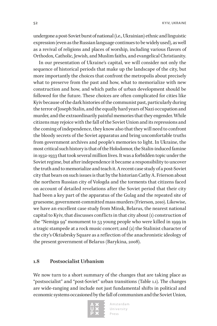<span id="page-52-0"></span>undergone a post-Soviet burst of national (i.e., Ukrainian) ethnic and linguistic expression (even as the Russian language continues to be widely used), as well as a revival of religions and places of worship, including various flavors of Orthodox, Catholic, Jewish, and Muslim faiths, and evangelical Christianity.

In our presentation of Ukraine's capital, we will consider not only the sequence of historical periods that make up the landscape of the city, but more importantly the choices that confront the metropolis about precisely what to preserve from the past and how, what to memorialize with new construction and how, and which paths of urban development should be followed for the future. These choices are often complicated for cities like Kyiv because of the dark histories of the communist past, particularly during the terror of Joseph Stalin, and the equally hard years of Nazi occupation and murder, and the extraordinarily painful memories that they engender. While citizens may rejoice with the fall of the Soviet Union and its repressions and the coming of independence, they know also that they will need to confront the bloody secrets of the Soviet apparatus and bring uncomfortable truths from government archives and people's memories to light. In Ukraine, the most critical such history is that of the Holodomor, the Stalin-induced famine in 1932-1933 that took several million lives. It was a forbidden topic under the Soviet regime, but after independence it became a responsibility to uncover the truth and to memorialize and teach it. A recent case study of a post-Soviet city that bears on such issues is that by the historian Cathy A. Frierson about the northern Russian city of Vologda and the torments that citizens faced on account of detailed revelations after the Soviet period that their city had been a key part of the apparatus of the Gulag and the repeated site of gruesome, government-committed mass murders (Frierson, 2010). Likewise, we have an excellent case study from Minsk, Belarus, the nearest national capital to Kyiv, that discusses conflicts in that city about (1) construction of the "Nemiga 99" monument to 53 young people who were killed in 1999 in a tragic stampede at a rock music concert; and (2) the Stalinist character of the city's Oktiabrsky Square as a reflection of the anachronistic ideology of the present government of Belarus (Barykina, 2008).

#### **1.8 Postsocialist Urbanism**

We now turn to a short summary of the changes that are taking place as "postsocialist" and "post-Soviet" urban transitions (Table 1.1). The changes are wide-ranging and include not just fundamental shifts in political and economic systems occasioned by the fall of communism and the Soviet Union,

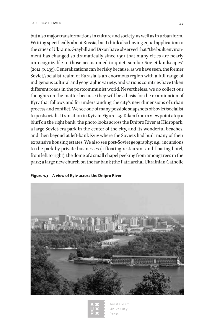<span id="page-53-0"></span>but also major transformations in culture and society, as well as in urban form. Writing specifically about Russia, but I think also having equal application to the cities of Ukraine, Graybill and Dixon have observed that "the built environment has changed so dramatically since 1991 that many cities are nearly unrecognizable to those accustomed to quiet, somber Soviet landscapes" (2012, p. 239). Generalizations can be risky because, as we have seen, the former Soviet/socialist realm of Eurasia is an enormous region with a full range of indigenous cultural and geographic variety, and various countries have taken different roads in the postcommunist world. Nevertheless, we do collect our thoughts on the matter because they will be a basis for the examination of Kyiv that follows and for understanding the city's new dimensions of urban process and conflict. We see one of many possible snapshots of Soviet/socialist to postsocialist transition in Kyiv in Figure 1.3. Taken from a viewpoint atop a bluff on the right bank, the photo looks across the Dnipro River at Hidropark, a large Soviet-era park in the center of the city, and its wonderful beaches, and then beyond at left-bank Kyiv where the Soviets had built many of their expansive housing estates. We also see post-Soviet geography: e.g.*,* incursions to the park by private businesses (a floating restaurant and floating hotel, from left to right); the dome of a small chapel peeking from among trees in the park; a large new church on the far bank (the Patriarchal Ukrainian Catholic





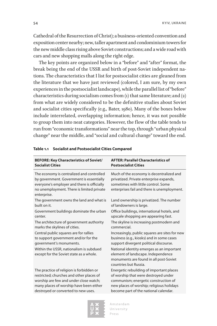<span id="page-54-0"></span>54 K YIV, UKRAINE

Cathedral of the Resurrection of Christ); a business-oriented convention and exposition center nearby; new, taller apartment and condominium towers for the new middle class rising above Soviet constructions; and a wide road with cars and new shopping malls along the right edge.

The key points are organized below in a "before" and "after" format, the break being the end of the USSR and birth of post-Soviet independent nations. The characteristics that I list for postsocialist cities are gleaned from the literature that we have just reviewed (colored, I am sure, by my own experiences in the postsocialist landscape), while the parallel list of "before" characteristics during socialism comes from (1) that same literature; and (2) from what are widely considered to be the definitive studies about Soviet and socialist cities specifically (e.g.*,* Bater, 1980). Many of the boxes below include interrelated, overlapping information; hence, it was not possible to group them into neat categories. However, the flow of the table tends to run from "economic transformations" near the top, through "urban physical change" near the middle, and "social and cultural change" toward the end.

| <b>BEFORE: Key Characteristics of Soviet/</b>                                                                                                                                                    | <b>AFTER: Parallel Characteristics of</b>                                                                                                                                 |
|--------------------------------------------------------------------------------------------------------------------------------------------------------------------------------------------------|---------------------------------------------------------------------------------------------------------------------------------------------------------------------------|
| <b>Socialist Cities</b>                                                                                                                                                                          | <b>Postsocialist Cities</b>                                                                                                                                               |
| The economy is centralized and controlled<br>by government. Government is essentially<br>everyone's employer and there is officially<br>no unemployment. There is limited private<br>enterprise. | Much of the economy is decentralized and<br>privatized. Private enterprise expands,<br>sometimes with little control. Some<br>enterprises fail and there is unemployment. |
| The government owns the land and what is                                                                                                                                                         | Land ownership is privatized. The number                                                                                                                                  |
| built on it.                                                                                                                                                                                     | of landowners is large.                                                                                                                                                   |
| Government buildings dominate the urban                                                                                                                                                          | Office buildings, international hotels, and                                                                                                                               |
| center.                                                                                                                                                                                          | upscale shopping are appearing fast.                                                                                                                                      |
| The architecture of government authority                                                                                                                                                         | The skyline is increasing postmodern and                                                                                                                                  |
| marks the skylines of cities.                                                                                                                                                                    | commercial.                                                                                                                                                               |
| Central public squares are for rallies                                                                                                                                                           | Increasingly, public squares are sites for new                                                                                                                            |
| to support government and/or for the                                                                                                                                                             | business (e.g., kiosks) and in some cases                                                                                                                                 |
| government's monuments.                                                                                                                                                                          | support divergent political discourse.                                                                                                                                    |
| Within the USSR, nationalism is subdued<br>except for the Soviet state as a whole.                                                                                                               | National identity emerges as an important<br>element of landscape. Independence<br>monuments are found in all post-Soviet<br>countries but Russia.                        |
| The practice of religion is forbidden or                                                                                                                                                         | Energetic rebuilding of important places                                                                                                                                  |
| restricted; churches and other places of                                                                                                                                                         | of worship that were destroyed under                                                                                                                                      |
| worship are few and under close watch;                                                                                                                                                           | communism; energetic construction of                                                                                                                                      |
| many places of worship have been either                                                                                                                                                          | new places of worship; religious holidays                                                                                                                                 |
| destroyed or converted to new uses.                                                                                                                                                              | become part of the national calendar.                                                                                                                                     |
|                                                                                                                                                                                                  |                                                                                                                                                                           |

#### **Table 1.1 Socialist and Postsocialist Cities Compared**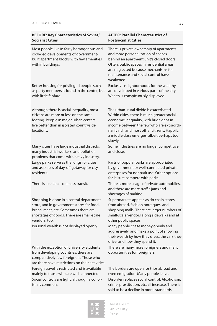| <b>BEFORE: Key Characteristics of Soviet/</b><br><b>Socialist Cities</b>                                                                                                                     | <b>AFTER: Parallel Characteristics of</b><br><b>Postsocialist Cities</b>                                                                                                                                                                                                                |
|----------------------------------------------------------------------------------------------------------------------------------------------------------------------------------------------|-----------------------------------------------------------------------------------------------------------------------------------------------------------------------------------------------------------------------------------------------------------------------------------------|
| Most people live in fairly homogenous and<br>crowded developments of government-<br>built apartment blocks with few amenities<br>within buildings.                                           | There is private ownership of apartments<br>and more personalization of spaces<br>behind an apartment unit's closed doors.<br>Often, public spaces in residential areas<br>are neglected because mechanisms for<br>maintenance and social control have<br>weakened.                     |
| Better housing for privileged people such<br>as party members is found in the center, but<br>with little fanfare.                                                                            | Exclusive neighborhoods for the wealthy<br>are developed in various parts of the city.<br>Wealth is conspicuously displayed.                                                                                                                                                            |
| Although there is social inequality, most<br>citizens are more or less on the same<br>footing. People in major urban centers<br>live better than in isolated countryside<br>locations.       | The urban-rural divide is exacerbated.<br>Within cities, there is much greater social-<br>economic inequality, with huge gaps in<br>income between the few who are extraordi-<br>narily rich and most other citizens. Happily,<br>a middle class emerges, albeit perhaps too<br>slowly. |
| Many cities have large industrial districts,<br>many industrial workers, and pollution<br>problems that come with heavy industry.                                                            | Some industries are no longer competitive<br>and close.                                                                                                                                                                                                                                 |
| Large parks serve as the lungs for cities<br>and as places of day-off getaway for city<br>residents.                                                                                         | Parts of popular parks are appropriated<br>by government or well-connected private<br>enterprises for nonpark use. Other options<br>for leisure compete with parks.                                                                                                                     |
| There is a reliance on mass transit.                                                                                                                                                         | There is more usage of private automobiles,<br>and there are more traffic jams and<br>shortages of parking.                                                                                                                                                                             |
| Shopping is done in a central department<br>store, and in government stores for food,<br>bread, meat, etc. Sometimes there are<br>shortages of goods. There are small-scale<br>vendors, too. | Supermarkets appear, as do chain stores<br>from abroad, fashion boutiques, and<br>shopping malls. There are larger numbers of<br>small-scale vendors along sidewalks and at<br>other public spaces.                                                                                     |
| Personal wealth is not displayed openly.                                                                                                                                                     | Many people chase money openly and<br>aggressively, and make a point of showing<br>their wealth by how they dress, the cars they<br>drive, and how they spend it.                                                                                                                       |
| With the exception of university students<br>from developing countries, there are<br>comparatively few foreigners. Those who<br>are there have restrictions on their activities.             | There are many more foreigners and many<br>opportunities for foreigners.                                                                                                                                                                                                                |
| Foreign travel is restricted and is available<br>mainly to those who are well-connected.<br>Social controls are tight, although alcohol-<br>ism is common.                                   | The borders are open for trips abroad and<br>even emigration. Many people leave.<br>Disorder replaces social control. Alcoholism,<br>crime, prostitution, etc. all increase. There is<br>said to be a decline in moral standards.                                                       |